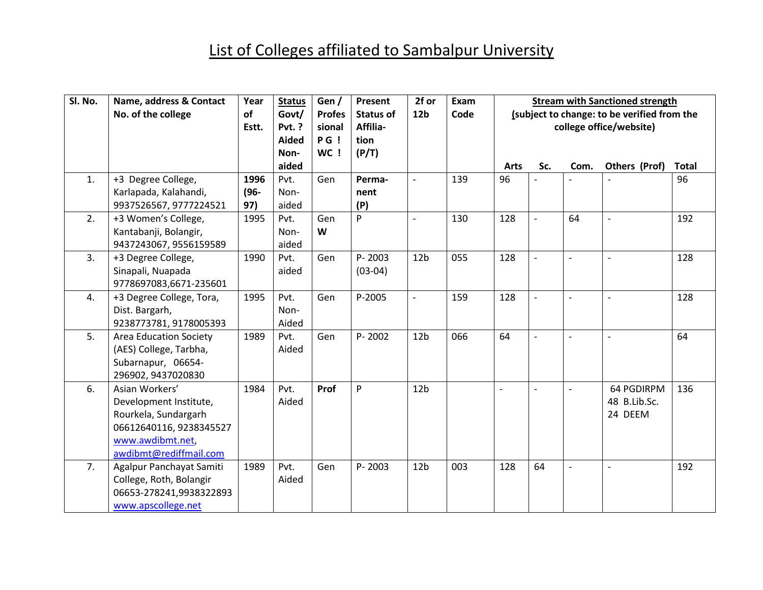## List of Colleges affiliated to Sambalpur University

| Sl. No. | Name, address & Contact                                 | Year<br>of | <b>Status</b><br>Govt/ | Gen/                    | Present                      | 2f or<br>12 <sub>b</sub> | Exam<br>Code | <b>Stream with Sanctioned strength</b><br>(subject to change: to be verified from the |                |                          |                          |              |  |
|---------|---------------------------------------------------------|------------|------------------------|-------------------------|------------------------------|--------------------------|--------------|---------------------------------------------------------------------------------------|----------------|--------------------------|--------------------------|--------------|--|
|         | No. of the college                                      | Estt.      | <b>Pvt. ?</b>          | <b>Profes</b><br>sional | <b>Status of</b><br>Affilia- |                          |              |                                                                                       |                |                          | college office/website)  |              |  |
|         |                                                         |            | <b>Aided</b><br>Non-   | PG!<br>WC !             | tion<br>(P/T)                |                          |              |                                                                                       |                |                          |                          |              |  |
|         |                                                         |            | aided                  |                         |                              |                          |              | <b>Arts</b>                                                                           | Sc.            | Com.                     | Others (Prof)            | <b>Total</b> |  |
| 1.      | +3 Degree College,                                      | 1996       | Pvt.                   | Gen                     | Perma-                       | $\overline{a}$           | 139          | 96                                                                                    |                |                          |                          | 96           |  |
|         | Karlapada, Kalahandi,                                   | $(96 -$    | Non-                   |                         | nent                         |                          |              |                                                                                       |                |                          |                          |              |  |
|         | 9937526567, 9777224521                                  | 97)        | aided                  |                         | (P)                          |                          |              |                                                                                       |                |                          |                          |              |  |
| 2.      | +3 Women's College,                                     | 1995       | Pvt.                   | Gen                     | P                            | $\overline{a}$           | 130          | 128                                                                                   |                | 64                       | $\overline{a}$           | 192          |  |
|         | Kantabanji, Bolangir,                                   |            | Non-                   | W                       |                              |                          |              |                                                                                       |                |                          |                          |              |  |
|         | 9437243067, 9556159589                                  |            | aided                  |                         |                              |                          |              |                                                                                       |                |                          |                          |              |  |
| 3.      | +3 Degree College,                                      | 1990       | Pvt.                   | Gen                     | P-2003                       | 12 <sub>b</sub>          | 055          | 128                                                                                   |                |                          |                          | 128          |  |
|         | Sinapali, Nuapada                                       |            | aided                  |                         | $(03-04)$                    |                          |              |                                                                                       |                |                          |                          |              |  |
|         | 9778697083,6671-235601                                  |            |                        |                         |                              |                          |              |                                                                                       |                |                          |                          |              |  |
| 4.      | +3 Degree College, Tora,                                | 1995       | Pvt.                   | Gen                     | P-2005                       | $\overline{\phantom{a}}$ | 159          | 128                                                                                   | $\overline{a}$ | $\overline{\phantom{a}}$ | $\overline{\phantom{a}}$ | 128          |  |
|         | Dist. Bargarh,                                          |            | Non-                   |                         |                              |                          |              |                                                                                       |                |                          |                          |              |  |
| 5.      | 9238773781, 9178005393                                  | 1989       | Aided<br>Pvt.          | Gen                     | P-2002                       | 12 <sub>b</sub>          | 066          | 64                                                                                    | $\blacksquare$ |                          | $\overline{\phantom{a}}$ | 64           |  |
|         | <b>Area Education Society</b><br>(AES) College, Tarbha, |            | Aided                  |                         |                              |                          |              |                                                                                       |                | $\overline{\phantom{a}}$ |                          |              |  |
|         | Subarnapur, 06654-                                      |            |                        |                         |                              |                          |              |                                                                                       |                |                          |                          |              |  |
|         | 296902, 9437020830                                      |            |                        |                         |                              |                          |              |                                                                                       |                |                          |                          |              |  |
| 6.      | Asian Workers'                                          | 1984       | Pvt.                   | Prof                    | P                            | 12 <sub>b</sub>          |              | $\overline{a}$                                                                        | $\overline{a}$ | $\overline{\phantom{a}}$ | 64 PGDIRPM               | 136          |  |
|         | Development Institute,                                  |            | Aided                  |                         |                              |                          |              |                                                                                       |                |                          | 48 B.Lib.Sc.             |              |  |
|         | Rourkela, Sundargarh                                    |            |                        |                         |                              |                          |              |                                                                                       |                |                          | 24 DEEM                  |              |  |
|         | 06612640116, 9238345527                                 |            |                        |                         |                              |                          |              |                                                                                       |                |                          |                          |              |  |
|         | www.awdibmt.net,                                        |            |                        |                         |                              |                          |              |                                                                                       |                |                          |                          |              |  |
|         | awdibmt@rediffmail.com                                  |            |                        |                         |                              |                          |              |                                                                                       |                |                          |                          |              |  |
| 7.      | Agalpur Panchayat Samiti                                | 1989       | Pvt.                   | Gen                     | $P - 2003$                   | 12 <sub>b</sub>          | 003          | 128                                                                                   | 64             | $\overline{\phantom{0}}$ | $\sim$                   | 192          |  |
|         | College, Roth, Bolangir                                 |            | Aided                  |                         |                              |                          |              |                                                                                       |                |                          |                          |              |  |
|         | 06653-278241,9938322893                                 |            |                        |                         |                              |                          |              |                                                                                       |                |                          |                          |              |  |
|         | www.apscollege.net                                      |            |                        |                         |                              |                          |              |                                                                                       |                |                          |                          |              |  |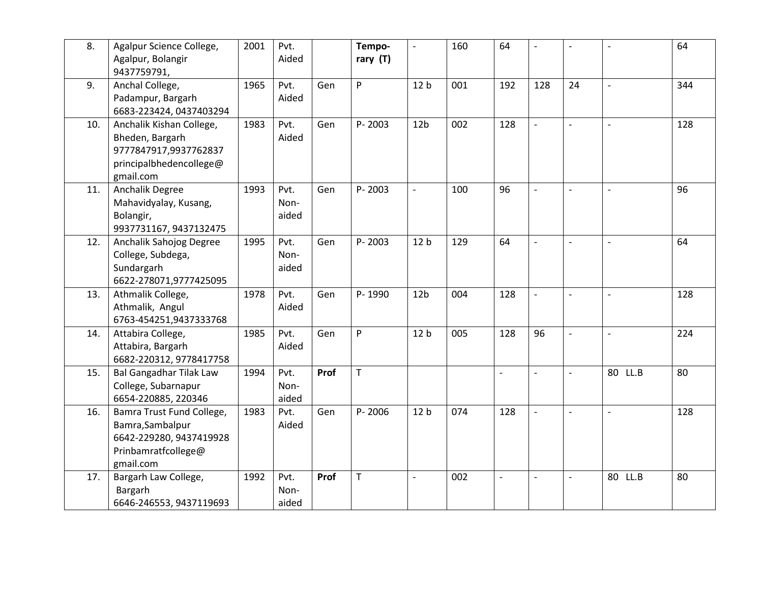| 8.  | Agalpur Science College,<br>Agalpur, Bolangir<br>9437759791,                                                 | 2001 | Pvt.<br>Aided         |      | Tempo-<br>rary (T) | $\Box$          | 160 | 64             | $\overline{\phantom{a}}$ | $\overline{\phantom{a}}$ | $\overline{a}$           | 64  |
|-----|--------------------------------------------------------------------------------------------------------------|------|-----------------------|------|--------------------|-----------------|-----|----------------|--------------------------|--------------------------|--------------------------|-----|
| 9.  | Anchal College,<br>Padampur, Bargarh<br>6683-223424, 0437403294                                              | 1965 | Pvt.<br>Aided         | Gen  | P                  | 12 <sub>b</sub> | 001 | 192            | 128                      | 24                       | $\overline{a}$           | 344 |
| 10. | Anchalik Kishan College,<br>Bheden, Bargarh<br>9777847917,9937762837<br>principalbhedencollege@<br>gmail.com | 1983 | Pvt.<br>Aided         | Gen  | P-2003             | 12 <sub>b</sub> | 002 | 128            | $\overline{a}$           | $\blacksquare$           | $\overline{a}$           | 128 |
| 11. | Anchalik Degree<br>Mahavidyalay, Kusang,<br>Bolangir,<br>9937731167, 9437132475                              | 1993 | Pvt.<br>Non-<br>aided | Gen  | P-2003             | $\frac{1}{2}$   | 100 | 96             | $\overline{a}$           | $\overline{\phantom{a}}$ | $\overline{\phantom{a}}$ | 96  |
| 12. | Anchalik Sahojog Degree<br>College, Subdega,<br>Sundargarh<br>6622-278071,9777425095                         | 1995 | Pvt.<br>Non-<br>aided | Gen  | P-2003             | 12 <sub>b</sub> | 129 | 64             | $\overline{a}$           | $\overline{\phantom{a}}$ | $\overline{\phantom{a}}$ | 64  |
| 13. | Athmalik College,<br>Athmalik, Angul<br>6763-454251,9437333768                                               | 1978 | Pvt.<br>Aided         | Gen  | P-1990             | 12 <sub>b</sub> | 004 | 128            | $\overline{a}$           | $\overline{\phantom{a}}$ |                          | 128 |
| 14. | Attabira College,<br>Attabira, Bargarh<br>6682-220312, 9778417758                                            | 1985 | Pvt.<br>Aided         | Gen  | P                  | 12 <sub>b</sub> | 005 | 128            | 96                       | $\blacksquare$           | $\overline{a}$           | 224 |
| 15. | <b>Bal Gangadhar Tilak Law</b><br>College, Subarnapur<br>6654-220885, 220346                                 | 1994 | Pvt.<br>Non-<br>aided | Prof | T                  |                 |     | $\overline{a}$ | $\overline{a}$           | $\blacksquare$           | 80 LL.B                  | 80  |
| 16. | Bamra Trust Fund College,<br>Bamra, Sambalpur<br>6642-229280, 9437419928<br>Prinbamratfcollege@<br>gmail.com | 1983 | Pvt.<br>Aided         | Gen  | P-2006             | 12 <sub>b</sub> | 074 | 128            | $\overline{\phantom{a}}$ | $\blacksquare$           | $\overline{\phantom{a}}$ | 128 |
| 17. | Bargarh Law College,<br>Bargarh<br>6646-246553, 9437119693                                                   | 1992 | Pvt.<br>Non-<br>aided | Prof | T                  | $\overline{a}$  | 002 |                |                          | $\overline{\phantom{a}}$ | 80 LL.B                  | 80  |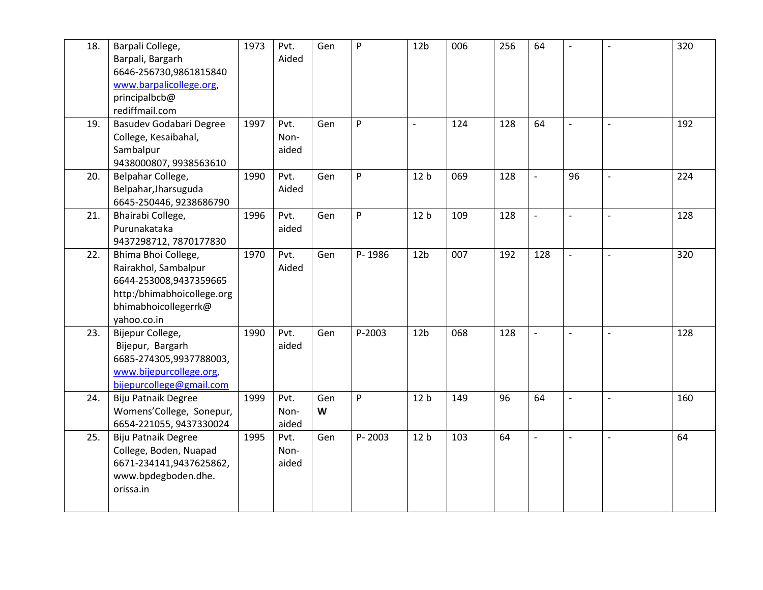| 18. | Barpali College,<br>Barpali, Bargarh<br>6646-256730,9861815840<br>www.barpalicollege.org,<br>principalbcb@<br>rediffmail.com               | 1973 | Pvt.<br>Aided         | Gen      | P      | 12 <sub>b</sub>          | 006 | 256 | 64                       | $\blacksquare$           | $\sim$                   | 320 |
|-----|--------------------------------------------------------------------------------------------------------------------------------------------|------|-----------------------|----------|--------|--------------------------|-----|-----|--------------------------|--------------------------|--------------------------|-----|
| 19. | Basudev Godabari Degree<br>College, Kesaibahal,<br>Sambalpur<br>9438000807, 9938563610                                                     | 1997 | Pvt.<br>Non-<br>aided | Gen      | P      | $\overline{\phantom{a}}$ | 124 | 128 | 64                       | $\blacksquare$           | $\blacksquare$           | 192 |
| 20. | Belpahar College,<br>Belpahar, Jharsuguda<br>6645-250446, 9238686790                                                                       | 1990 | Pvt.<br>Aided         | Gen      | P      | 12 <sub>b</sub>          | 069 | 128 |                          | 96                       |                          | 224 |
| 21. | Bhairabi College,<br>Purunakataka<br>9437298712, 7870177830                                                                                | 1996 | Pvt.<br>aided         | Gen      | P      | 12 <sub>b</sub>          | 109 | 128 | $\blacksquare$           | $\blacksquare$           | $\overline{\phantom{a}}$ | 128 |
| 22. | Bhima Bhoi College,<br>Rairakhol, Sambalpur<br>6644-253008,9437359665<br>http:/bhimabhoicollege.org<br>bhimabhoicollegerrk@<br>yahoo.co.in | 1970 | Pvt.<br>Aided         | Gen      | P-1986 | 12 <sub>b</sub>          | 007 | 192 | 128                      | $\overline{\phantom{0}}$ | $\overline{\phantom{a}}$ | 320 |
| 23. | Bijepur College,<br>Bijepur, Bargarh<br>6685-274305,9937788003,<br>www.bijepurcollege.org,<br>bijepurcollege@gmail.com                     | 1990 | Pvt.<br>aided         | Gen      | P-2003 | 12 <sub>b</sub>          | 068 | 128 | $\overline{a}$           | $\blacksquare$           | $\overline{a}$           | 128 |
| 24. | Biju Patnaik Degree<br>Womens'College, Sonepur,<br>6654-221055, 9437330024                                                                 | 1999 | Pvt.<br>Non-<br>aided | Gen<br>W | P      | 12 <sub>b</sub>          | 149 | 96  | 64                       | $\blacksquare$           | $\overline{a}$           | 160 |
| 25. | <b>Biju Patnaik Degree</b><br>College, Boden, Nuapad<br>6671-234141,9437625862,<br>www.bpdegboden.dhe.<br>orissa.in                        | 1995 | Pvt.<br>Non-<br>aided | Gen      | P-2003 | 12 <sub>b</sub>          | 103 | 64  | $\overline{\phantom{a}}$ | $\overline{\phantom{a}}$ | $\overline{\phantom{a}}$ | 64  |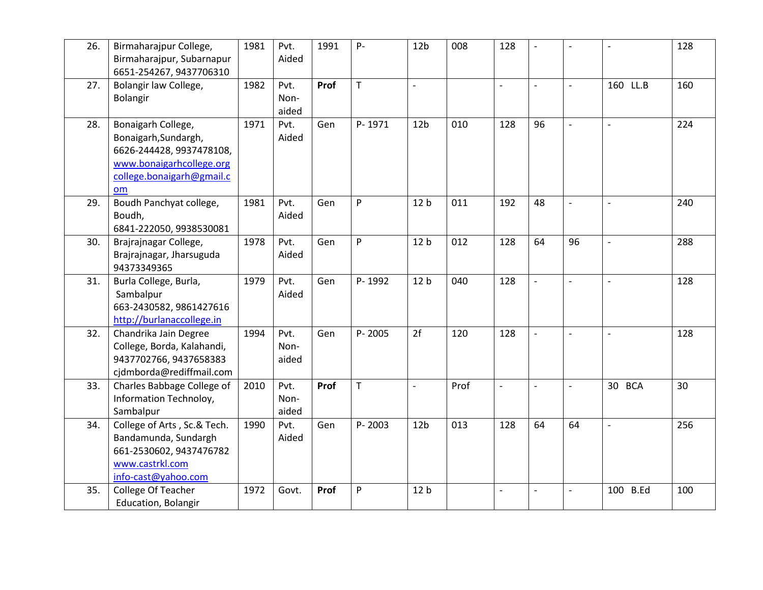| 26. | Birmaharajpur College,<br>Birmaharajpur, Subarnapur<br>6651-254267, 9437706310                                                        | 1981 | Pvt.<br>Aided         | 1991 | $P -$        | 12 <sub>b</sub>          | 008  | 128                      | $\overline{a}$           | $\overline{a}$           |                          | 128 |
|-----|---------------------------------------------------------------------------------------------------------------------------------------|------|-----------------------|------|--------------|--------------------------|------|--------------------------|--------------------------|--------------------------|--------------------------|-----|
| 27. | Bolangir law College,<br>Bolangir                                                                                                     | 1982 | Pvt.<br>Non-<br>aided | Prof | $\mathsf{T}$ | $\overline{\phantom{a}}$ |      | $\overline{\phantom{0}}$ | $\frac{1}{2}$            | $\overline{\phantom{a}}$ | 160 LL.B                 | 160 |
| 28. | Bonaigarh College,<br>Bonaigarh, Sundargh,<br>6626-244428, 9937478108,<br>www.bonaigarhcollege.org<br>college.bonaigarh@gmail.c<br>om | 1971 | Pvt.<br>Aided         | Gen  | P-1971       | 12 <sub>b</sub>          | 010  | 128                      | 96                       | $\blacksquare$           | $\overline{\phantom{a}}$ | 224 |
| 29. | Boudh Panchyat college,<br>Boudh,<br>6841-222050, 9938530081                                                                          | 1981 | Pvt.<br>Aided         | Gen  | P            | 12 <sub>b</sub>          | 011  | 192                      | 48                       | $\overline{\phantom{a}}$ |                          | 240 |
| 30. | Brajrajnagar College,<br>Brajrajnagar, Jharsuguda<br>94373349365                                                                      | 1978 | Pvt.<br>Aided         | Gen  | P            | 12 <sub>b</sub>          | 012  | 128                      | 64                       | 96                       | $\overline{\phantom{a}}$ | 288 |
| 31. | Burla College, Burla,<br>Sambalpur<br>663-2430582, 9861427616<br>http://burlanaccollege.in                                            | 1979 | Pvt.<br>Aided         | Gen  | P-1992       | 12 <sub>b</sub>          | 040  | 128                      | $\overline{\phantom{a}}$ | $\blacksquare$           |                          | 128 |
| 32. | Chandrika Jain Degree<br>College, Borda, Kalahandi,<br>9437702766, 9437658383<br>cjdmborda@rediffmail.com                             | 1994 | Pvt.<br>Non-<br>aided | Gen  | P-2005       | 2f                       | 120  | 128                      |                          |                          |                          | 128 |
| 33. | Charles Babbage College of<br>Information Technoloy,<br>Sambalpur                                                                     | 2010 | Pvt.<br>Non-<br>aided | Prof | $\mathsf T$  | $\overline{\phantom{a}}$ | Prof | $\overline{a}$           | $\overline{\phantom{0}}$ | $\mathbb{L}$             | 30 BCA                   | 30  |
| 34. | College of Arts, Sc.& Tech.<br>Bandamunda, Sundargh<br>661-2530602, 9437476782<br>www.castrkl.com<br>info-cast@yahoo.com              | 1990 | Pvt.<br>Aided         | Gen  | P-2003       | 12 <sub>b</sub>          | 013  | 128                      | 64                       | 64                       | $\frac{1}{2}$            | 256 |
| 35. | College Of Teacher<br>Education, Bolangir                                                                                             | 1972 | Govt.                 | Prof | P            | 12 <sub>b</sub>          |      |                          | $\overline{a}$           | $\overline{\phantom{a}}$ | 100 B.Ed                 | 100 |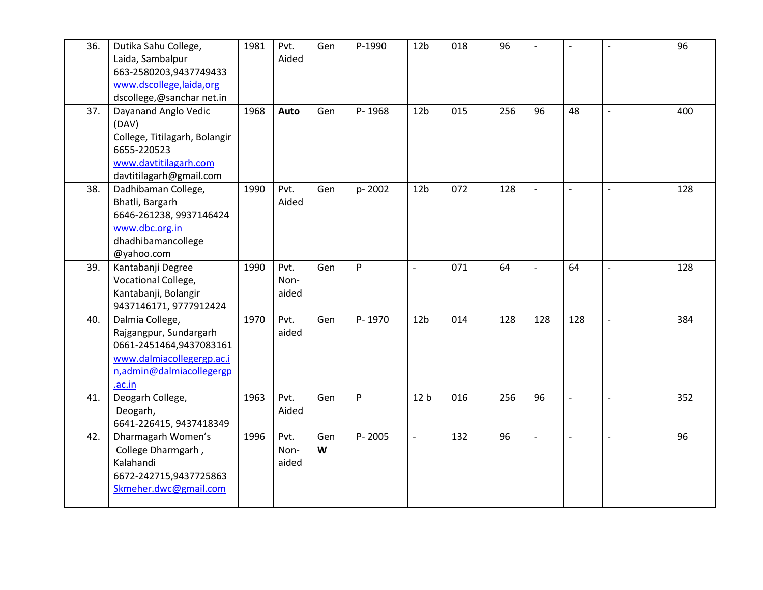| 36. | Dutika Sahu College,<br>Laida, Sambalpur<br>663-2580203,9437749433<br>www.dscollege,laida,org<br>dscollege,@sanchar net.in              | 1981 | Pvt.<br>Aided         | Gen      | P-1990 | 12 <sub>b</sub>          | 018 | 96  | $\overline{\phantom{a}}$ | $\blacksquare$           | $\overline{\phantom{a}}$ | 96  |
|-----|-----------------------------------------------------------------------------------------------------------------------------------------|------|-----------------------|----------|--------|--------------------------|-----|-----|--------------------------|--------------------------|--------------------------|-----|
| 37. | Dayanand Anglo Vedic<br>(DAV)<br>College, Titilagarh, Bolangir<br>6655-220523<br>www.davtitilagarh.com<br>davtitilagarh@gmail.com       | 1968 | Auto                  | Gen      | P-1968 | 12 <sub>b</sub>          | 015 | 256 | 96                       | 48                       | $\overline{\phantom{a}}$ | 400 |
| 38. | Dadhibaman College,<br>Bhatli, Bargarh<br>6646-261238, 9937146424<br>www.dbc.org.in<br>dhadhibamancollege<br>@yahoo.com                 | 1990 | Pvt.<br>Aided         | Gen      | p-2002 | 12 <sub>b</sub>          | 072 | 128 | $\overline{a}$           | $\overline{\phantom{a}}$ | $\overline{\phantom{a}}$ | 128 |
| 39. | Kantabanji Degree<br>Vocational College,<br>Kantabanji, Bolangir<br>9437146171, 9777912424                                              | 1990 | Pvt.<br>Non-<br>aided | Gen      | P      | $\overline{\phantom{a}}$ | 071 | 64  | $\overline{\phantom{0}}$ | 64                       | $\sim$                   | 128 |
| 40. | Dalmia College,<br>Rajgangpur, Sundargarh<br>0661-2451464,9437083161<br>www.dalmiacollegergp.ac.i<br>n,admin@dalmiacollegergp<br>.ac.in | 1970 | Pvt.<br>aided         | Gen      | P-1970 | 12 <sub>b</sub>          | 014 | 128 | 128                      | 128                      |                          | 384 |
| 41. | Deogarh College,<br>Deogarh,<br>6641-226415, 9437418349                                                                                 | 1963 | Pvt.<br>Aided         | Gen      | P      | 12 <sub>b</sub>          | 016 | 256 | 96                       | $\blacksquare$           | $\overline{\phantom{a}}$ | 352 |
| 42. | Dharmagarh Women's<br>College Dharmgarh,<br>Kalahandi<br>6672-242715,9437725863<br>Skmeher.dwc@gmail.com                                | 1996 | Pvt.<br>Non-<br>aided | Gen<br>W | P-2005 | $\blacksquare$           | 132 | 96  | $\overline{a}$           | $\blacksquare$           | $\mathbf{r}$             | 96  |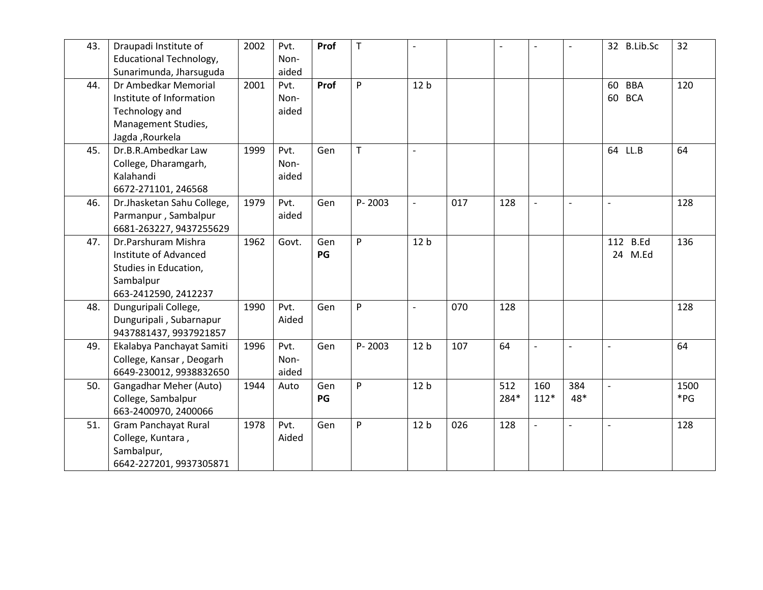| 43. | Draupadi Institute of          | 2002 | Pvt.  | Prof | $\mathsf T$ | $\overline{\phantom{a}}$ |     |      | $\overline{a}$ | $\overline{a}$ | 32 B.Lib.Sc      | 32       |
|-----|--------------------------------|------|-------|------|-------------|--------------------------|-----|------|----------------|----------------|------------------|----------|
|     | <b>Educational Technology,</b> |      | Non-  |      |             |                          |     |      |                |                |                  |          |
|     | Sunarimunda, Jharsuguda        |      | aided |      |             |                          |     |      |                |                |                  |          |
| 44. | Dr Ambedkar Memorial           | 2001 | Pvt.  | Prof | P           | 12 <sub>b</sub>          |     |      |                |                | <b>BBA</b><br>60 | 120      |
|     | Institute of Information       |      | Non-  |      |             |                          |     |      |                |                | 60 BCA           |          |
|     | Technology and                 |      | aided |      |             |                          |     |      |                |                |                  |          |
|     | Management Studies,            |      |       |      |             |                          |     |      |                |                |                  |          |
|     | Jagda , Rourkela               |      |       |      |             |                          |     |      |                |                |                  |          |
| 45. | Dr.B.R.Ambedkar Law            | 1999 | Pvt.  | Gen  | T           | $\overline{\phantom{a}}$ |     |      |                |                | 64 LL.B          | 64       |
|     | College, Dharamgarh,           |      | Non-  |      |             |                          |     |      |                |                |                  |          |
|     | Kalahandi                      |      | aided |      |             |                          |     |      |                |                |                  |          |
|     | 6672-271101, 246568            |      |       |      |             |                          |     |      |                |                |                  |          |
| 46. | Dr.Jhasketan Sahu College,     | 1979 | Pvt.  | Gen  | P-2003      | $\sim$                   | 017 | 128  | $\overline{a}$ | $\blacksquare$ | $\mathbf{r}$     | 128      |
|     | Parmanpur, Sambalpur           |      | aided |      |             |                          |     |      |                |                |                  |          |
|     | 6681-263227, 9437255629        |      |       |      |             |                          |     |      |                |                |                  |          |
| 47. | Dr.Parshuram Mishra            | 1962 | Govt. | Gen  | P           | 12 <sub>b</sub>          |     |      |                |                | 112 B.Ed         | 136      |
|     | Institute of Advanced          |      |       | PG   |             |                          |     |      |                |                | 24 M.Ed          |          |
|     | Studies in Education,          |      |       |      |             |                          |     |      |                |                |                  |          |
|     | Sambalpur                      |      |       |      |             |                          |     |      |                |                |                  |          |
|     | 663-2412590, 2412237           |      |       |      |             |                          |     |      |                |                |                  |          |
| 48. | Dunguripali College,           | 1990 | Pvt.  | Gen  | P           | $\overline{\phantom{a}}$ | 070 | 128  |                |                |                  | 128      |
|     | Dunguripali, Subarnapur        |      | Aided |      |             |                          |     |      |                |                |                  |          |
|     | 9437881437, 9937921857         |      |       |      |             |                          |     |      |                |                |                  |          |
| 49. | Ekalabya Panchayat Samiti      | 1996 | Pvt.  | Gen  | P-2003      | 12 <sub>b</sub>          | 107 | 64   | $\overline{a}$ | $\overline{a}$ | $\sim$           | 64       |
|     | College, Kansar, Deogarh       |      | Non-  |      |             |                          |     |      |                |                |                  |          |
|     | 6649-230012, 9938832650        |      | aided |      |             |                          |     |      |                |                |                  |          |
| 50. | Gangadhar Meher (Auto)         | 1944 | Auto  | Gen  | P           | 12 <sub>b</sub>          |     | 512  | 160            | 384            |                  | 1500     |
|     | College, Sambalpur             |      |       | PG   |             |                          |     | 284* | $112*$         | 48*            |                  | $*_{PG}$ |
|     | 663-2400970, 2400066           |      |       |      |             |                          |     |      |                |                |                  |          |
| 51. | <b>Gram Panchayat Rural</b>    | 1978 | Pvt.  | Gen  | P           | 12 <sub>b</sub>          | 026 | 128  | $\overline{a}$ | $\overline{a}$ |                  | 128      |
|     | College, Kuntara,              |      | Aided |      |             |                          |     |      |                |                |                  |          |
|     | Sambalpur,                     |      |       |      |             |                          |     |      |                |                |                  |          |
|     | 6642-227201, 9937305871        |      |       |      |             |                          |     |      |                |                |                  |          |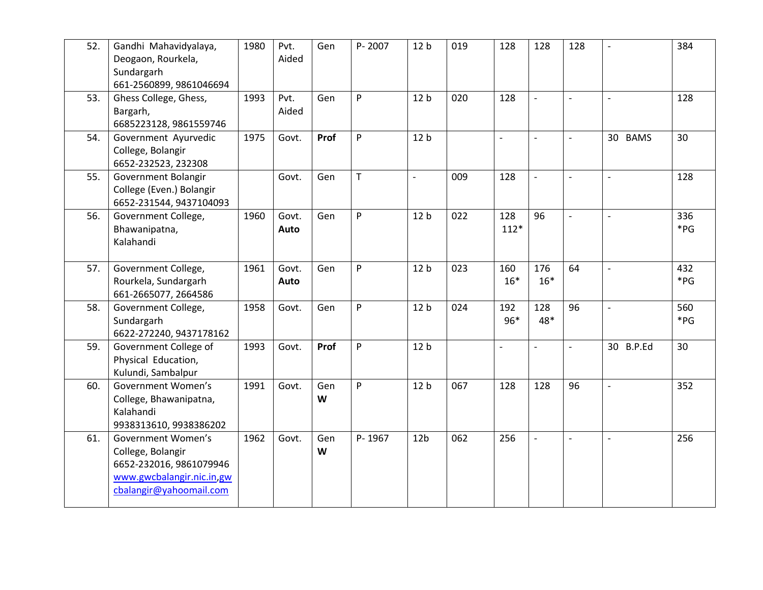| 52. | Gandhi Mahavidyalaya,<br>Deogaon, Rourkela,<br>Sundargarh<br>661-2560899, 9861046694                                       | 1980 | Pvt.<br>Aided | Gen      | P-2007      | 12 <sub>b</sub>          | 019 | 128                      | 128                      | 128                      | $\overline{a}$      | 384             |
|-----|----------------------------------------------------------------------------------------------------------------------------|------|---------------|----------|-------------|--------------------------|-----|--------------------------|--------------------------|--------------------------|---------------------|-----------------|
| 53. | Ghess College, Ghess,<br>Bargarh,<br>6685223128, 9861559746                                                                | 1993 | Pvt.<br>Aided | Gen      | P           | 12 <sub>b</sub>          | 020 | 128                      | $\frac{1}{2}$            | $\frac{1}{2}$            | $\blacksquare$      | 128             |
| 54. | Government Ayurvedic<br>College, Bolangir<br>6652-232523, 232308                                                           | 1975 | Govt.         | Prof     | P           | 12 <sub>b</sub>          |     | $\overline{\phantom{a}}$ | $\overline{\phantom{a}}$ | $\overline{\phantom{a}}$ | 30 BAMS             | 30              |
| 55. | Government Bolangir<br>College (Even.) Bolangir<br>6652-231544, 9437104093                                                 |      | Govt.         | Gen      | $\mathsf T$ | $\overline{\phantom{a}}$ | 009 | 128                      | $\overline{a}$           | $\overline{\phantom{a}}$ | $\mathbf{r}$        | 128             |
| 56. | Government College,<br>Bhawanipatna,<br>Kalahandi                                                                          | 1960 | Govt.<br>Auto | Gen      | P           | 12 <sub>b</sub>          | 022 | 128<br>$112*$            | 96                       | $\overline{a}$           | $\blacksquare$      | 336<br>*PG      |
| 57. | Government College,<br>Rourkela, Sundargarh<br>661-2665077, 2664586                                                        | 1961 | Govt.<br>Auto | Gen      | P           | 12 <sub>b</sub>          | 023 | 160<br>$16*$             | 176<br>$16*$             | 64                       | $\mathbf{r}$        | 432<br>$*_{PG}$ |
| 58. | Government College,<br>Sundargarh<br>6622-272240, 9437178162                                                               | 1958 | Govt.         | Gen      | P           | 12 <sub>b</sub>          | 024 | 192<br>$96*$             | 128<br>48*               | 96                       | $\overline{a}$      | 560<br>$*_{PG}$ |
| 59. | Government College of<br>Physical Education,<br>Kulundi, Sambalpur                                                         | 1993 | Govt.         | Prof     | P           | 12 <sub>b</sub>          |     | $\frac{1}{2}$            | $\overline{\phantom{m}}$ | $\overline{\phantom{0}}$ | 30 B.P.Ed           | 30              |
| 60. | Government Women's<br>College, Bhawanipatna,<br>Kalahandi<br>9938313610, 9938386202                                        | 1991 | Govt.         | Gen<br>W | P           | 12 <sub>b</sub>          | 067 | 128                      | 128                      | 96                       | $\bar{\phantom{a}}$ | 352             |
| 61. | Government Women's<br>College, Bolangir<br>6652-232016, 9861079946<br>www.gwcbalangir.nic.in.gw<br>cbalangir@yahoomail.com | 1962 | Govt.         | Gen<br>W | P-1967      | 12 <sub>b</sub>          | 062 | 256                      | $\overline{a}$           | $\overline{a}$           | $\overline{a}$      | 256             |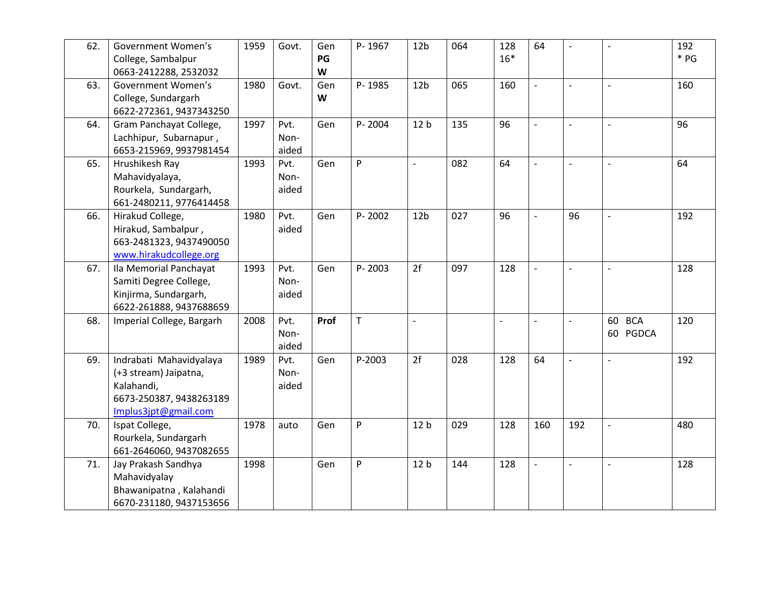| 62. | Government Women's        | 1959 | Govt. | Gen  | P-1967       | 12 <sub>b</sub>          | 064 | 128            | 64                       | $\overline{\phantom{0}}$ | $\sim$                   | 192    |
|-----|---------------------------|------|-------|------|--------------|--------------------------|-----|----------------|--------------------------|--------------------------|--------------------------|--------|
|     | College, Sambalpur        |      |       | PG   |              |                          |     | $16*$          |                          |                          |                          | $*$ PG |
|     | 0663-2412288, 2532032     |      |       | W    |              |                          |     |                |                          |                          |                          |        |
| 63. | Government Women's        | 1980 | Govt. | Gen  | P-1985       | 12 <sub>b</sub>          | 065 | 160            | $\overline{\phantom{0}}$ | $\overline{\phantom{a}}$ | $\overline{\phantom{a}}$ | 160    |
|     | College, Sundargarh       |      |       | W    |              |                          |     |                |                          |                          |                          |        |
|     | 6622-272361, 9437343250   |      |       |      |              |                          |     |                |                          |                          |                          |        |
| 64. | Gram Panchayat College,   | 1997 | Pvt.  | Gen  | P-2004       | 12 <sub>b</sub>          | 135 | 96             | $\overline{a}$           | $\overline{\phantom{0}}$ | $\overline{\phantom{a}}$ | 96     |
|     | Lachhipur, Subarnapur,    |      | Non-  |      |              |                          |     |                |                          |                          |                          |        |
|     | 6653-215969, 9937981454   |      | aided |      |              |                          |     |                |                          |                          |                          |        |
| 65. | Hrushikesh Ray            | 1993 | Pvt.  | Gen  | P            | $\overline{\phantom{a}}$ | 082 | 64             |                          | $\overline{a}$           |                          | 64     |
|     | Mahavidyalaya,            |      | Non-  |      |              |                          |     |                |                          |                          |                          |        |
|     | Rourkela, Sundargarh,     |      | aided |      |              |                          |     |                |                          |                          |                          |        |
|     | 661-2480211, 9776414458   |      |       |      |              |                          |     |                |                          |                          |                          |        |
| 66. | Hirakud College,          | 1980 | Pvt.  | Gen  | P-2002       | 12 <sub>b</sub>          | 027 | 96             | $\overline{a}$           | 96                       | $\blacksquare$           | 192    |
|     | Hirakud, Sambalpur,       |      | aided |      |              |                          |     |                |                          |                          |                          |        |
|     | 663-2481323, 9437490050   |      |       |      |              |                          |     |                |                          |                          |                          |        |
|     | www.hirakudcollege.org    |      |       |      |              |                          |     |                |                          |                          |                          |        |
| 67. | Ila Memorial Panchayat    | 1993 | Pvt.  | Gen  | P-2003       | 2f                       | 097 | 128            | $\overline{a}$           | $\overline{\phantom{a}}$ | $\sim$                   | 128    |
|     | Samiti Degree College,    |      | Non-  |      |              |                          |     |                |                          |                          |                          |        |
|     | Kinjirma, Sundargarh,     |      | aided |      |              |                          |     |                |                          |                          |                          |        |
|     | 6622-261888, 9437688659   |      |       |      |              |                          |     |                |                          |                          |                          |        |
| 68. | Imperial College, Bargarh | 2008 | Pvt.  | Prof | $\mathsf{T}$ | $\overline{a}$           |     | $\overline{a}$ | $\overline{\phantom{a}}$ | $\overline{a}$           | 60 BCA                   | 120    |
|     |                           |      | Non-  |      |              |                          |     |                |                          |                          | 60 PGDCA                 |        |
|     |                           |      | aided |      |              |                          |     |                |                          |                          |                          |        |
| 69. | Indrabati Mahavidyalaya   | 1989 | Pvt.  | Gen  | P-2003       | 2f                       | 028 | 128            | 64                       | $\overline{\phantom{0}}$ | $\sim$                   | 192    |
|     | (+3 stream) Jaipatna,     |      | Non-  |      |              |                          |     |                |                          |                          |                          |        |
|     | Kalahandi,                |      | aided |      |              |                          |     |                |                          |                          |                          |        |
|     | 6673-250387, 9438263189   |      |       |      |              |                          |     |                |                          |                          |                          |        |
|     | Implus3jpt@gmail.com      |      |       |      |              |                          |     |                |                          |                          |                          |        |
| 70. | Ispat College,            | 1978 | auto  | Gen  | P            | 12 <sub>b</sub>          | 029 | 128            | 160                      | 192                      | $\blacksquare$           | 480    |
|     | Rourkela, Sundargarh      |      |       |      |              |                          |     |                |                          |                          |                          |        |
|     | 661-2646060, 9437082655   |      |       |      |              |                          |     |                |                          |                          |                          |        |
| 71. | Jay Prakash Sandhya       | 1998 |       | Gen  | P            | 12 <sub>b</sub>          | 144 | 128            | $\overline{a}$           | $\blacksquare$           | $\sim$                   | 128    |
|     | Mahavidyalay              |      |       |      |              |                          |     |                |                          |                          |                          |        |
|     | Bhawanipatna, Kalahandi   |      |       |      |              |                          |     |                |                          |                          |                          |        |
|     | 6670-231180, 9437153656   |      |       |      |              |                          |     |                |                          |                          |                          |        |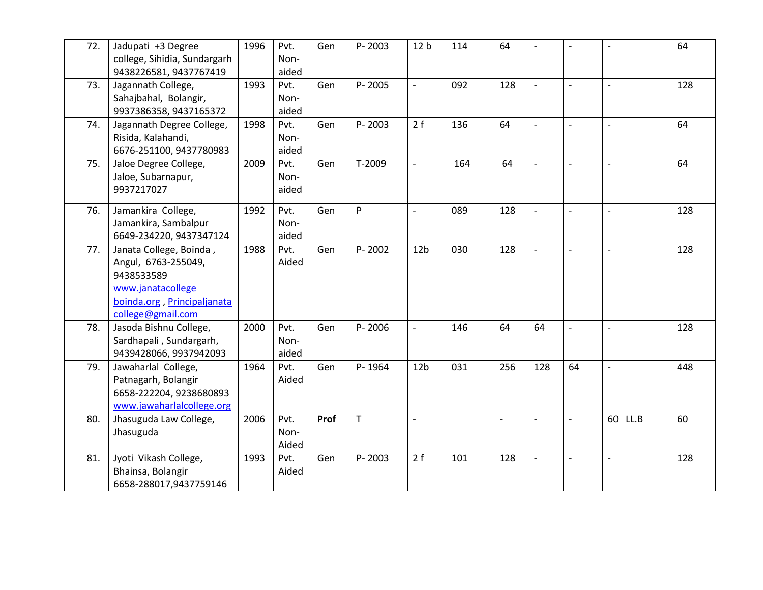| 72. | Jadupati +3 Degree<br>college, Sihidia, Sundargarh<br>9438226581, 9437767419                                                          | 1996 | Pvt.<br>Non-<br>aided | Gen  | P-2003      | 12 <sub>b</sub>          | 114 | 64  | $\overline{\phantom{0}}$ | $\overline{a}$           | $\overline{\phantom{a}}$ | 64  |
|-----|---------------------------------------------------------------------------------------------------------------------------------------|------|-----------------------|------|-------------|--------------------------|-----|-----|--------------------------|--------------------------|--------------------------|-----|
| 73. | Jagannath College,<br>Sahajbahal, Bolangir,<br>9937386358, 9437165372                                                                 | 1993 | Pvt.<br>Non-<br>aided | Gen  | P-2005      | $\sim$                   | 092 | 128 | $\overline{a}$           | $\overline{\phantom{a}}$ | $\sim$                   | 128 |
| 74. | Jagannath Degree College,<br>Risida, Kalahandi,<br>6676-251100, 9437780983                                                            | 1998 | Pvt.<br>Non-<br>aided | Gen  | P-2003      | 2f                       | 136 | 64  | $\overline{a}$           | $\frac{1}{2}$            | $\blacksquare$           | 64  |
| 75. | Jaloe Degree College,<br>Jaloe, Subarnapur,<br>9937217027                                                                             | 2009 | Pvt.<br>Non-<br>aided | Gen  | T-2009      | $\overline{\phantom{a}}$ | 164 | 64  | $\overline{a}$           | $\overline{\phantom{0}}$ | $\overline{\phantom{a}}$ | 64  |
| 76. | Jamankira College,<br>Jamankira, Sambalpur<br>6649-234220, 9437347124                                                                 | 1992 | Pvt.<br>Non-<br>aided | Gen  | P           | $\overline{\phantom{a}}$ | 089 | 128 | $\overline{a}$           | $\overline{\phantom{0}}$ | $\overline{\phantom{a}}$ | 128 |
| 77. | Janata College, Boinda,<br>Angul, 6763-255049,<br>9438533589<br>www.janatacollege<br>boinda.org, Principaljanata<br>college@gmail.com | 1988 | Pvt.<br>Aided         | Gen  | P-2002      | 12 <sub>b</sub>          | 030 | 128 | $\overline{a}$           | $\overline{\phantom{0}}$ |                          | 128 |
| 78. | Jasoda Bishnu College,<br>Sardhapali, Sundargarh,<br>9439428066, 9937942093                                                           | 2000 | Pvt.<br>Non-<br>aided | Gen  | P-2006      | $\overline{\phantom{a}}$ | 146 | 64  | 64                       | $\overline{a}$           |                          | 128 |
| 79. | Jawaharlal College,<br>Patnagarh, Bolangir<br>6658-222204, 9238680893<br>www.jawaharlalcollege.org                                    | 1964 | Pvt.<br>Aided         | Gen  | P-1964      | 12 <sub>b</sub>          | 031 | 256 | 128                      | 64                       | $\overline{a}$           | 448 |
| 80. | Jhasuguda Law College,<br>Jhasuguda                                                                                                   | 2006 | Pvt.<br>Non-<br>Aided | Prof | $\mathsf T$ | $\overline{a}$           |     |     |                          |                          | 60 LL.B                  | 60  |
| 81. | Jyoti Vikash College,<br>Bhainsa, Bolangir<br>6658-288017,9437759146                                                                  | 1993 | Pvt.<br>Aided         | Gen  | P-2003      | 2f                       | 101 | 128 | $\overline{a}$           | $\overline{\phantom{0}}$ | $\sim$                   | 128 |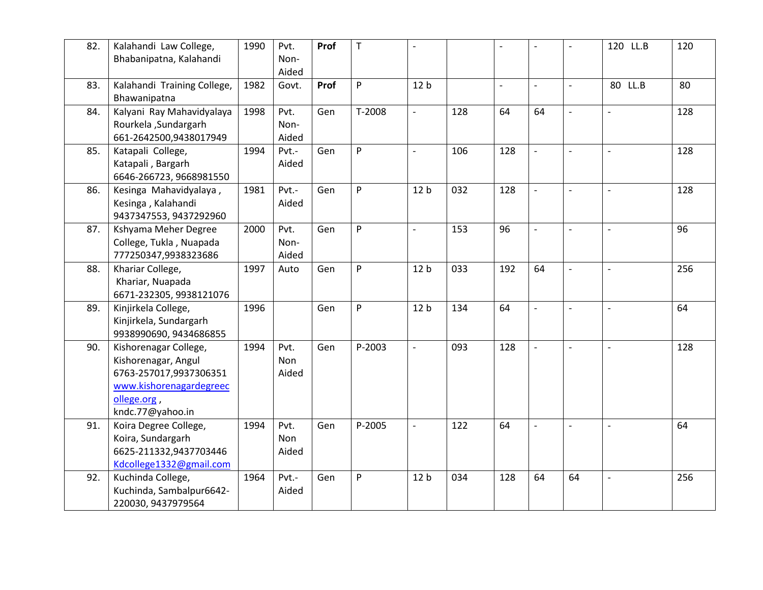| 82. | Kalahandi Law College,      | 1990 | Pvt.  | Prof | T      | $\overline{\phantom{a}}$ |     |                          | $\overline{a}$           |                          | 120 LL.B                 | 120 |
|-----|-----------------------------|------|-------|------|--------|--------------------------|-----|--------------------------|--------------------------|--------------------------|--------------------------|-----|
|     | Bhabanipatna, Kalahandi     |      | Non-  |      |        |                          |     |                          |                          |                          |                          |     |
|     |                             |      | Aided |      |        |                          |     |                          |                          |                          |                          |     |
| 83. | Kalahandi Training College, | 1982 | Govt. | Prof | P      | 12 <sub>b</sub>          |     | $\overline{\phantom{0}}$ | $\overline{\phantom{0}}$ | $\overline{\phantom{a}}$ | 80 LL.B                  | 80  |
|     | Bhawanipatna                |      |       |      |        |                          |     |                          |                          |                          |                          |     |
| 84. | Kalyani Ray Mahavidyalaya   | 1998 | Pvt.  | Gen  | T-2008 | $\bar{\phantom{a}}$      | 128 | 64                       | 64                       | $\sim$                   | $\bar{\phantom{a}}$      | 128 |
|     | Rourkela , Sundargarh       |      | Non-  |      |        |                          |     |                          |                          |                          |                          |     |
|     | 661-2642500,9438017949      |      | Aided |      |        |                          |     |                          |                          |                          |                          |     |
| 85. | Katapali College,           | 1994 | Pvt.- | Gen  | P      | $\overline{\phantom{a}}$ | 106 | 128                      | $\overline{a}$           | $\blacksquare$           | $\overline{a}$           | 128 |
|     | Katapali, Bargarh           |      | Aided |      |        |                          |     |                          |                          |                          |                          |     |
|     | 6646-266723, 9668981550     |      |       |      |        |                          |     |                          |                          |                          |                          |     |
| 86. | Kesinga Mahavidyalaya,      | 1981 | Pvt.- | Gen  | P      | 12 <sub>b</sub>          | 032 | 128                      | $\overline{a}$           | $\blacksquare$           | $\overline{a}$           | 128 |
|     | Kesinga, Kalahandi          |      | Aided |      |        |                          |     |                          |                          |                          |                          |     |
|     | 9437347553, 9437292960      |      |       |      |        |                          |     |                          |                          |                          |                          |     |
| 87. | Kshyama Meher Degree        | 2000 | Pvt.  | Gen  | P      | $\overline{\phantom{a}}$ | 153 | 96                       | $\overline{\phantom{0}}$ | $\overline{\phantom{a}}$ | $\overline{\phantom{a}}$ | 96  |
|     | College, Tukla, Nuapada     |      | Non-  |      |        |                          |     |                          |                          |                          |                          |     |
|     | 777250347,9938323686        |      | Aided |      |        |                          |     |                          |                          |                          |                          |     |
| 88. | Khariar College,            | 1997 | Auto  | Gen  | P      | 12 <sub>b</sub>          | 033 | 192                      | 64                       | $\blacksquare$           | $\overline{a}$           | 256 |
|     | Khariar, Nuapada            |      |       |      |        |                          |     |                          |                          |                          |                          |     |
|     | 6671-232305, 9938121076     |      |       |      |        |                          |     |                          |                          |                          |                          |     |
| 89. | Kinjirkela College,         | 1996 |       | Gen  | P      | 12 <sub>b</sub>          | 134 | 64                       | $\overline{a}$           |                          |                          | 64  |
|     | Kinjirkela, Sundargarh      |      |       |      |        |                          |     |                          |                          |                          |                          |     |
|     | 9938990690, 9434686855      |      |       |      |        |                          |     |                          |                          |                          |                          |     |
| 90. | Kishorenagar College,       | 1994 | Pvt.  | Gen  | P-2003 | $\overline{\phantom{a}}$ | 093 | 128                      | $\overline{\phantom{a}}$ | $\mathbb{L}$             |                          | 128 |
|     | Kishorenagar, Angul         |      | Non   |      |        |                          |     |                          |                          |                          |                          |     |
|     | 6763-257017,9937306351      |      | Aided |      |        |                          |     |                          |                          |                          |                          |     |
|     | www.kishorenagardegreec     |      |       |      |        |                          |     |                          |                          |                          |                          |     |
|     | ollege.org,                 |      |       |      |        |                          |     |                          |                          |                          |                          |     |
|     |                             |      |       |      |        |                          |     |                          |                          |                          |                          |     |
| 91. | kndc.77@yahoo.in            |      |       |      | P-2005 |                          | 122 | 64                       |                          |                          |                          | 64  |
|     | Koira Degree College,       | 1994 | Pvt.  | Gen  |        | $\blacksquare$           |     |                          | $\overline{\phantom{0}}$ | $\mathbf{r}$             | $\mathbf{r}$             |     |
|     | Koira, Sundargarh           |      | Non   |      |        |                          |     |                          |                          |                          |                          |     |
|     | 6625-211332,9437703446      |      | Aided |      |        |                          |     |                          |                          |                          |                          |     |
|     | Kdcollege1332@gmail.com     |      |       |      |        |                          |     |                          |                          |                          |                          |     |
| 92. | Kuchinda College,           | 1964 | Pvt.- | Gen  | P      | 12 <sub>b</sub>          | 034 | 128                      | 64                       | 64                       |                          | 256 |
|     | Kuchinda, Sambalpur6642-    |      | Aided |      |        |                          |     |                          |                          |                          |                          |     |
|     | 220030, 9437979564          |      |       |      |        |                          |     |                          |                          |                          |                          |     |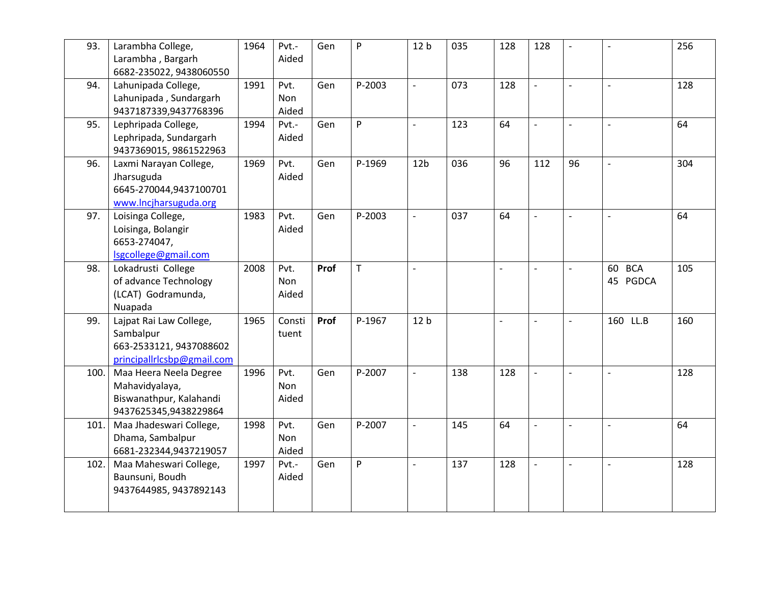| 93.  | Larambha College,<br>Larambha, Bargarh<br>6682-235022, 9438060550                             | 1964 | Pvt.-<br>Aided              | Gen  | P           | 12 <sub>b</sub>          | 035 | 128                      | 128            | $\overline{\phantom{0}}$ | $\overline{\phantom{a}}$ | 256 |
|------|-----------------------------------------------------------------------------------------------|------|-----------------------------|------|-------------|--------------------------|-----|--------------------------|----------------|--------------------------|--------------------------|-----|
| 94.  | Lahunipada College,<br>Lahunipada, Sundargarh<br>9437187339,9437768396                        | 1991 | Pvt.<br><b>Non</b><br>Aided | Gen  | P-2003      | $\overline{\phantom{a}}$ | 073 | 128                      | $\overline{a}$ | $\overline{\phantom{a}}$ | $\overline{\phantom{a}}$ | 128 |
| 95.  | Lephripada College,<br>Lephripada, Sundargarh<br>9437369015, 9861522963                       | 1994 | Pvt.-<br>Aided              | Gen  | P           | $\mathbb{L}$             | 123 | 64                       | $\overline{a}$ | $\overline{\phantom{0}}$ | $\sim$                   | 64  |
| 96.  | Laxmi Narayan College,<br>Jharsuguda<br>6645-270044,9437100701<br>www.lncjharsuguda.org       | 1969 | Pvt.<br>Aided               | Gen  | P-1969      | 12 <sub>b</sub>          | 036 | 96                       | 112            | 96                       | $\overline{a}$           | 304 |
| 97.  | Loisinga College,<br>Loisinga, Bolangir<br>6653-274047,<br>Isgcollege@gmail.com               | 1983 | Pvt.<br>Aided               | Gen  | P-2003      | $\blacksquare$           | 037 | 64                       | $\overline{a}$ | $\blacksquare$           | $\overline{\phantom{a}}$ | 64  |
| 98.  | Lokadrusti College<br>of advance Technology<br>(LCAT) Godramunda,<br>Nuapada                  | 2008 | Pvt.<br>Non<br>Aided        | Prof | $\mathsf T$ | $\overline{\phantom{a}}$ |     | $\overline{\phantom{a}}$ | $\overline{a}$ | $\overline{\phantom{a}}$ | 60 BCA<br>45 PGDCA       | 105 |
| 99.  | Lajpat Rai Law College,<br>Sambalpur<br>663-2533121, 9437088602<br>principallrlcsbp@gmail.com | 1965 | Consti<br>tuent             | Prof | P-1967      | 12 <sub>b</sub>          |     | $\overline{a}$           | $\overline{a}$ | $\overline{\phantom{a}}$ | 160 LL.B                 | 160 |
| 100. | Maa Heera Neela Degree<br>Mahavidyalaya,<br>Biswanathpur, Kalahandi<br>9437625345,9438229864  | 1996 | Pvt.<br>Non<br>Aided        | Gen  | P-2007      | $\overline{\phantom{a}}$ | 138 | 128                      |                |                          |                          | 128 |
| 101. | Maa Jhadeswari College,<br>Dhama, Sambalpur<br>6681-232344,9437219057                         | 1998 | Pvt.<br>Non<br>Aided        | Gen  | P-2007      | $\blacksquare$           | 145 | 64                       | $\overline{a}$ | $\overline{\phantom{a}}$ | $\sim$                   | 64  |
| 102. | Maa Maheswari College,<br>Baunsuni, Boudh<br>9437644985, 9437892143                           | 1997 | Pvt.-<br>Aided              | Gen  | P           | $\overline{\phantom{a}}$ | 137 | 128                      | $\overline{a}$ | $\blacksquare$           | $\overline{\phantom{a}}$ | 128 |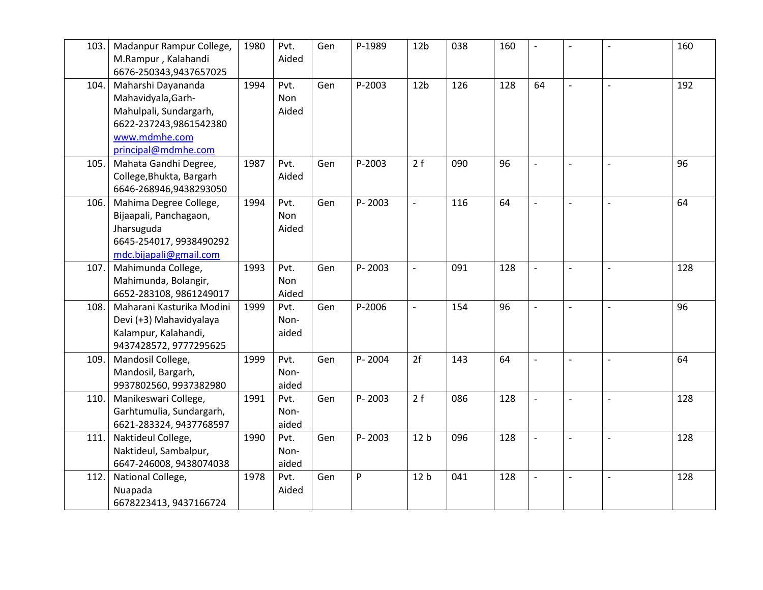| 103. | Madanpur Rampur College,  | 1980 | Pvt.       | Gen | P-1989 | 12 <sub>b</sub>          | 038 | 160 | $\overline{a}$ | $\overline{\phantom{0}}$ | $\overline{\phantom{a}}$ | 160 |
|------|---------------------------|------|------------|-----|--------|--------------------------|-----|-----|----------------|--------------------------|--------------------------|-----|
|      | M.Rampur, Kalahandi       |      | Aided      |     |        |                          |     |     |                |                          |                          |     |
|      | 6676-250343,9437657025    |      |            |     |        |                          |     |     |                |                          |                          |     |
| 104. | Maharshi Dayananda        | 1994 | Pvt.       | Gen | P-2003 | 12 <sub>b</sub>          | 126 | 128 | 64             | $\overline{\phantom{0}}$ | $\overline{\phantom{a}}$ | 192 |
|      | Mahavidyala, Garh-        |      | <b>Non</b> |     |        |                          |     |     |                |                          |                          |     |
|      | Mahulpali, Sundargarh,    |      | Aided      |     |        |                          |     |     |                |                          |                          |     |
|      | 6622-237243,9861542380    |      |            |     |        |                          |     |     |                |                          |                          |     |
|      | www.mdmhe.com             |      |            |     |        |                          |     |     |                |                          |                          |     |
|      | principal@mdmhe.com       |      |            |     |        |                          |     |     |                |                          |                          |     |
| 105. | Mahata Gandhi Degree,     | 1987 | Pvt.       | Gen | P-2003 | 2f                       | 090 | 96  |                |                          |                          | 96  |
|      | College, Bhukta, Bargarh  |      | Aided      |     |        |                          |     |     |                |                          |                          |     |
|      | 6646-268946,9438293050    |      |            |     |        |                          |     |     |                |                          |                          |     |
| 106. | Mahima Degree College,    | 1994 | Pvt.       | Gen | P-2003 | $\overline{\phantom{a}}$ | 116 | 64  | $\overline{a}$ | $\overline{\phantom{0}}$ | $\overline{\phantom{a}}$ | 64  |
|      | Bijaapali, Panchagaon,    |      | Non        |     |        |                          |     |     |                |                          |                          |     |
|      | Jharsuguda                |      | Aided      |     |        |                          |     |     |                |                          |                          |     |
|      | 6645-254017, 9938490292   |      |            |     |        |                          |     |     |                |                          |                          |     |
|      | mdc.bijapali@gmail.com    |      |            |     |        |                          |     |     |                |                          |                          |     |
| 107. | Mahimunda College,        | 1993 | Pvt.       | Gen | P-2003 | $\mathbb{L}$             | 091 | 128 | $\overline{a}$ | $\overline{\phantom{a}}$ | $\overline{\phantom{a}}$ | 128 |
|      | Mahimunda, Bolangir,      |      | Non        |     |        |                          |     |     |                |                          |                          |     |
|      | 6652-283108, 9861249017   |      | Aided      |     |        |                          |     |     |                |                          |                          |     |
| 108. | Maharani Kasturika Modini | 1999 | Pvt.       | Gen | P-2006 | $\overline{a}$           | 154 | 96  | $\overline{a}$ | $\overline{a}$           | $\overline{a}$           | 96  |
|      | Devi (+3) Mahavidyalaya   |      | Non-       |     |        |                          |     |     |                |                          |                          |     |
|      | Kalampur, Kalahandi,      |      | aided      |     |        |                          |     |     |                |                          |                          |     |
|      | 9437428572, 9777295625    |      |            |     |        |                          |     |     |                |                          |                          |     |
| 109. | Mandosil College,         | 1999 | Pvt.       | Gen | P-2004 | 2f                       | 143 | 64  | $\overline{a}$ | $\overline{a}$           | $\sim$                   | 64  |
|      | Mandosil, Bargarh,        |      | Non-       |     |        |                          |     |     |                |                          |                          |     |
|      | 9937802560, 9937382980    |      | aided      |     |        |                          |     |     |                |                          |                          |     |
| 110. | Manikeswari College,      | 1991 | Pvt.       | Gen | P-2003 | 2f                       | 086 | 128 | $\overline{a}$ | $\overline{a}$           | $\overline{\phantom{a}}$ | 128 |
|      | Garhtumulia, Sundargarh,  |      | Non-       |     |        |                          |     |     |                |                          |                          |     |
|      | 6621-283324, 9437768597   |      | aided      |     |        |                          |     |     |                |                          |                          |     |
| 111. | Naktideul College,        | 1990 | Pvt.       | Gen | P-2003 | 12 <sub>b</sub>          | 096 | 128 | $\overline{a}$ | $\overline{\phantom{0}}$ | $\sim$                   | 128 |
|      | Naktideul, Sambalpur,     |      | Non-       |     |        |                          |     |     |                |                          |                          |     |
|      | 6647-246008, 9438074038   |      | aided      |     |        |                          |     |     |                |                          |                          |     |
| 112. | National College,         | 1978 | Pvt.       | Gen | P      | 12 <sub>b</sub>          | 041 | 128 | $\overline{a}$ | $\overline{a}$           |                          | 128 |
|      | Nuapada                   |      | Aided      |     |        |                          |     |     |                |                          |                          |     |
|      | 6678223413, 9437166724    |      |            |     |        |                          |     |     |                |                          |                          |     |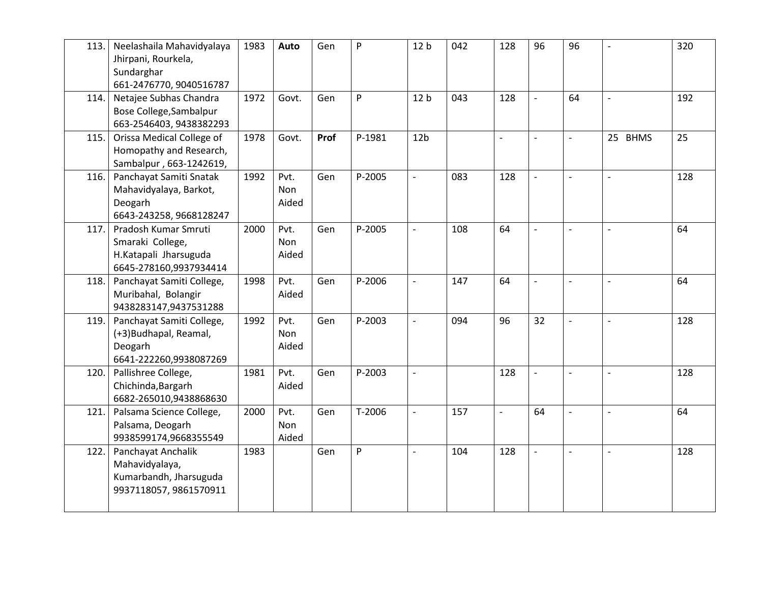| 113. | Neelashaila Mahavidyalaya<br>Jhirpani, Rourkela,<br>Sundarghar<br>661-2476770, 9040516787   | 1983 | Auto                 | Gen  | P      | 12 <sub>b</sub>          | 042 | 128            | 96                       | 96                       | $\overline{a}$ | 320 |
|------|---------------------------------------------------------------------------------------------|------|----------------------|------|--------|--------------------------|-----|----------------|--------------------------|--------------------------|----------------|-----|
| 114. | Netajee Subhas Chandra<br>Bose College, Sambalpur<br>663-2546403, 9438382293                | 1972 | Govt.                | Gen  | P      | 12 <sub>b</sub>          | 043 | 128            |                          | 64                       | $\overline{a}$ | 192 |
| 115. | Orissa Medical College of<br>Homopathy and Research,<br>Sambalpur, 663-1242619,             | 1978 | Govt.                | Prof | P-1981 | 12 <sub>b</sub>          |     | $\overline{a}$ | $\overline{a}$           | $\overline{\phantom{a}}$ | 25 BHMS        | 25  |
| 116. | Panchayat Samiti Snatak<br>Mahavidyalaya, Barkot,<br>Deogarh<br>6643-243258, 9668128247     | 1992 | Pvt.<br>Non<br>Aided | Gen  | P-2005 | $\overline{a}$           | 083 | 128            | $\overline{a}$           |                          |                | 128 |
| 117. | Pradosh Kumar Smruti<br>Smaraki College,<br>H.Katapali Jharsuguda<br>6645-278160,9937934414 | 2000 | Pvt.<br>Non<br>Aided | Gen  | P-2005 | $\overline{\phantom{a}}$ | 108 | 64             | $\overline{\phantom{a}}$ | $\blacksquare$           | $\overline{a}$ | 64  |
| 118. | Panchayat Samiti College,<br>Muribahal, Bolangir<br>9438283147,9437531288                   | 1998 | Pvt.<br>Aided        | Gen  | P-2006 | $\overline{\phantom{a}}$ | 147 | 64             | $\overline{a}$           | $\blacksquare$           | $\blacksquare$ | 64  |
| 119. | Panchayat Samiti College,<br>(+3) Budhapal, Reamal,<br>Deogarh<br>6641-222260,9938087269    | 1992 | Pvt.<br>Non<br>Aided | Gen  | P-2003 | $\mathbf{r}$             | 094 | 96             | 32                       | $\overline{\phantom{a}}$ | $\overline{a}$ | 128 |
| 120. | Pallishree College,<br>Chichinda, Bargarh<br>6682-265010,9438868630                         | 1981 | Pvt.<br>Aided        | Gen  | P-2003 | $\overline{\phantom{a}}$ |     | 128            | $\overline{a}$           | $\overline{\phantom{a}}$ |                | 128 |
| 121. | Palsama Science College,<br>Palsama, Deogarh<br>9938599174,9668355549                       | 2000 | Pvt.<br>Non<br>Aided | Gen  | T-2006 | $\overline{\phantom{a}}$ | 157 | $\overline{a}$ | 64                       | $\overline{a}$           | $\overline{a}$ | 64  |
| 122. | Panchayat Anchalik<br>Mahavidyalaya,<br>Kumarbandh, Jharsuguda<br>9937118057, 9861570911    | 1983 |                      | Gen  | P      | $\frac{1}{2}$            | 104 | 128            | $\overline{a}$           | $\Box$                   | $\overline{a}$ | 128 |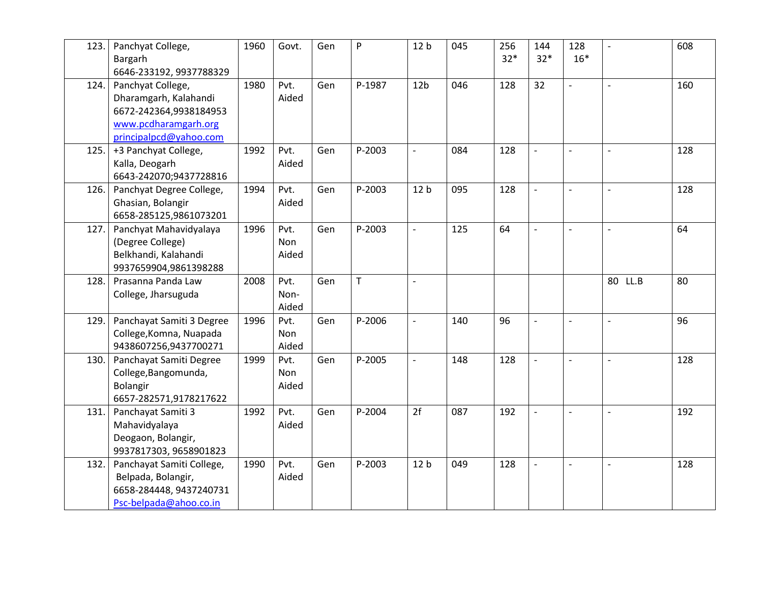| 123. | Panchyat College,<br>Bargarh | 1960 | Govt. | Gen | P            | 12 <sub>b</sub>          | 045 | 256<br>$32*$ | 144<br>$32*$   | 128<br>$16*$             | $\overline{\phantom{a}}$ | 608 |
|------|------------------------------|------|-------|-----|--------------|--------------------------|-----|--------------|----------------|--------------------------|--------------------------|-----|
|      | 6646-233192, 9937788329      |      |       |     |              |                          |     |              |                |                          |                          |     |
| 124. | Panchyat College,            | 1980 | Pvt.  | Gen | P-1987       | 12 <sub>b</sub>          | 046 | 128          | 32             | $\blacksquare$           | $\overline{a}$           | 160 |
|      | Dharamgarh, Kalahandi        |      | Aided |     |              |                          |     |              |                |                          |                          |     |
|      | 6672-242364,9938184953       |      |       |     |              |                          |     |              |                |                          |                          |     |
|      | www.pcdharamgarh.org         |      |       |     |              |                          |     |              |                |                          |                          |     |
|      | principalpcd@yahoo.com       |      |       |     |              |                          |     |              |                |                          |                          |     |
| 125. | +3 Panchyat College,         | 1992 | Pvt.  | Gen | P-2003       | $\overline{a}$           | 084 | 128          |                |                          |                          | 128 |
|      | Kalla, Deogarh               |      | Aided |     |              |                          |     |              |                |                          |                          |     |
|      | 6643-242070;9437728816       |      |       |     |              |                          |     |              |                |                          |                          |     |
| 126. | Panchyat Degree College,     | 1994 | Pvt.  | Gen | P-2003       | 12 <sub>b</sub>          | 095 | 128          | $\overline{a}$ | $\overline{\phantom{a}}$ | $\overline{a}$           | 128 |
|      | Ghasian, Bolangir            |      | Aided |     |              |                          |     |              |                |                          |                          |     |
|      | 6658-285125,9861073201       |      |       |     |              |                          |     |              |                |                          |                          |     |
| 127. | Panchyat Mahavidyalaya       | 1996 | Pvt.  | Gen | P-2003       | $\frac{1}{2}$            | 125 | 64           | $\overline{a}$ | $\overline{\phantom{a}}$ | $\overline{\phantom{a}}$ | 64  |
|      | (Degree College)             |      | Non   |     |              |                          |     |              |                |                          |                          |     |
|      | Belkhandi, Kalahandi         |      | Aided |     |              |                          |     |              |                |                          |                          |     |
|      | 9937659904,9861398288        |      |       |     |              |                          |     |              |                |                          |                          |     |
| 128. | Prasanna Panda Law           | 2008 | Pvt.  | Gen | $\mathsf{T}$ | $\overline{a}$           |     |              |                |                          | 80 LL.B                  | 80  |
|      | College, Jharsuguda          |      | Non-  |     |              |                          |     |              |                |                          |                          |     |
|      |                              |      | Aided |     |              |                          |     |              |                |                          |                          |     |
| 129. | Panchayat Samiti 3 Degree    | 1996 | Pvt.  | Gen | P-2006       | $\overline{a}$           | 140 | 96           |                |                          |                          | 96  |
|      | College, Komna, Nuapada      |      | Non   |     |              |                          |     |              |                |                          |                          |     |
|      | 9438607256,9437700271        |      | Aided |     |              |                          |     |              |                |                          |                          |     |
| 130. | Panchayat Samiti Degree      | 1999 | Pvt.  | Gen | P-2005       | $\overline{\phantom{a}}$ | 148 | 128          | $\overline{a}$ | $\overline{\phantom{a}}$ |                          | 128 |
|      | College, Bangomunda,         |      | Non   |     |              |                          |     |              |                |                          |                          |     |
|      | Bolangir                     |      | Aided |     |              |                          |     |              |                |                          |                          |     |
|      | 6657-282571,9178217622       |      |       |     |              |                          |     |              |                |                          |                          |     |
| 131. | Panchayat Samiti 3           | 1992 | Pvt.  | Gen | P-2004       | 2f                       | 087 | 192          | $\overline{a}$ | $\overline{\phantom{a}}$ | $\overline{a}$           | 192 |
|      | Mahavidyalaya                |      | Aided |     |              |                          |     |              |                |                          |                          |     |
|      | Deogaon, Bolangir,           |      |       |     |              |                          |     |              |                |                          |                          |     |
|      | 9937817303, 9658901823       |      |       |     |              |                          |     |              |                |                          |                          |     |
| 132. | Panchayat Samiti College,    | 1990 | Pvt.  | Gen | P-2003       | 12 <sub>b</sub>          | 049 | 128          | $\overline{a}$ | $\blacksquare$           | $\overline{a}$           | 128 |
|      | Belpada, Bolangir,           |      | Aided |     |              |                          |     |              |                |                          |                          |     |
|      | 6658-284448, 9437240731      |      |       |     |              |                          |     |              |                |                          |                          |     |
|      | Psc-belpada@ahoo.co.in       |      |       |     |              |                          |     |              |                |                          |                          |     |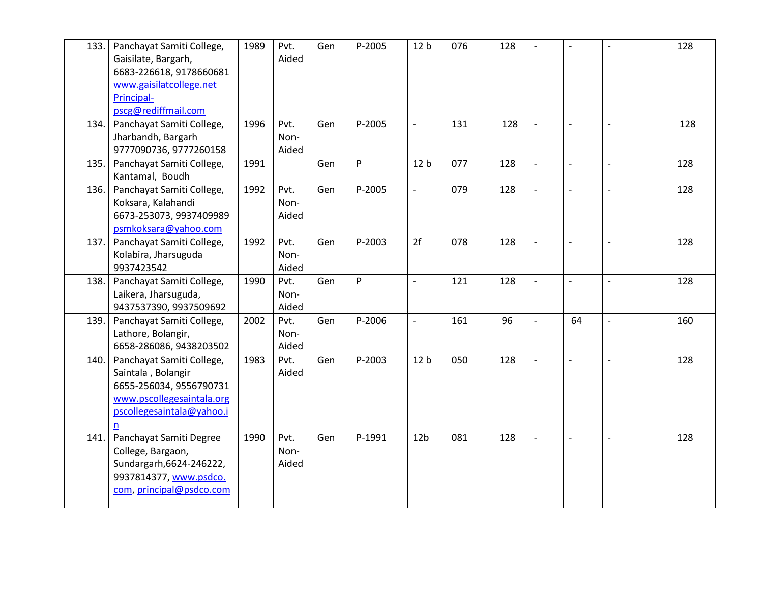| 133. | Panchayat Samiti College,<br>Gaisilate, Bargarh,<br>6683-226618, 9178660681<br>www.gaisilatcollege.net<br>Principal-                 | 1989 | Pvt.<br>Aided         | Gen | P-2005 | 12 <sub>b</sub>          | 076 | 128 | $\overline{a}$ | $\overline{\phantom{a}}$ |                          | 128 |
|------|--------------------------------------------------------------------------------------------------------------------------------------|------|-----------------------|-----|--------|--------------------------|-----|-----|----------------|--------------------------|--------------------------|-----|
|      | pscg@rediffmail.com                                                                                                                  |      |                       |     |        |                          |     |     |                |                          |                          |     |
| 134. | Panchayat Samiti College,<br>Jharbandh, Bargarh<br>9777090736, 9777260158                                                            | 1996 | Pvt.<br>Non-<br>Aided | Gen | P-2005 | $\overline{a}$           | 131 | 128 | $\overline{a}$ | $\overline{\phantom{a}}$ | $\overline{a}$           | 128 |
| 135. | Panchayat Samiti College,<br>Kantamal, Boudh                                                                                         | 1991 |                       | Gen | P      | 12 <sub>b</sub>          | 077 | 128 |                | $\overline{\phantom{0}}$ | $\blacksquare$           | 128 |
| 136. | Panchayat Samiti College,<br>Koksara, Kalahandi<br>6673-253073, 9937409989<br>psmkoksara@yahoo.com                                   | 1992 | Pvt.<br>Non-<br>Aided | Gen | P-2005 | $\blacksquare$           | 079 | 128 | $\overline{a}$ | $\overline{\phantom{a}}$ | $\overline{a}$           | 128 |
| 137. | Panchayat Samiti College,<br>Kolabira, Jharsuguda<br>9937423542                                                                      | 1992 | Pvt.<br>Non-<br>Aided | Gen | P-2003 | 2f                       | 078 | 128 | $\overline{a}$ | $\overline{\phantom{a}}$ | $\overline{\phantom{a}}$ | 128 |
| 138. | Panchayat Samiti College,<br>Laikera, Jharsuguda,<br>9437537390, 9937509692                                                          | 1990 | Pvt.<br>Non-<br>Aided | Gen | P      | $\overline{\phantom{a}}$ | 121 | 128 | $\overline{a}$ | $\blacksquare$           | $\sim$                   | 128 |
| 139. | Panchayat Samiti College,<br>Lathore, Bolangir,<br>6658-286086, 9438203502                                                           | 2002 | Pvt.<br>Non-<br>Aided | Gen | P-2006 | $\overline{\phantom{a}}$ | 161 | 96  | $\overline{a}$ | 64                       | $\overline{a}$           | 160 |
| 140. | Panchayat Samiti College,<br>Saintala, Bolangir<br>6655-256034, 9556790731<br>www.pscollegesaintala.org<br>pscollegesaintala@yahoo.i | 1983 | Pvt.<br>Aided         | Gen | P-2003 | 12 <sub>b</sub>          | 050 | 128 | $\overline{a}$ | $\blacksquare$           | $\overline{a}$           | 128 |
| 141. | Panchayat Samiti Degree<br>College, Bargaon,<br>Sundargarh, 6624-246222,<br>9937814377, www.psdco.<br>com, principal@psdco.com       | 1990 | Pvt.<br>Non-<br>Aided | Gen | P-1991 | 12 <sub>b</sub>          | 081 | 128 | $\overline{a}$ | $\overline{\phantom{a}}$ | $\overline{a}$           | 128 |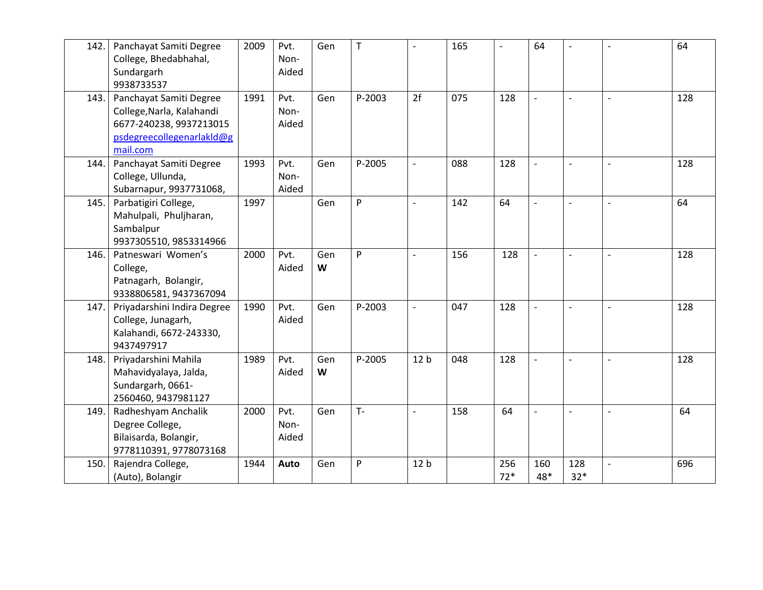| 142. | Panchayat Samiti Degree<br>College, Bhedabhahal,<br>Sundargarh<br>9938733537                                             | 2009 | Pvt.<br>Non-<br>Aided | Gen      | $\top$ | $\overline{a}$           | 165 | $\overline{\phantom{a}}$ | 64             | $\overline{\phantom{a}}$ | $\overline{a}$           | 64  |
|------|--------------------------------------------------------------------------------------------------------------------------|------|-----------------------|----------|--------|--------------------------|-----|--------------------------|----------------|--------------------------|--------------------------|-----|
| 143. | Panchayat Samiti Degree<br>College, Narla, Kalahandi<br>6677-240238, 9937213015<br>psdegreecollegenarlakld@g<br>mail.com | 1991 | Pvt.<br>Non-<br>Aided | Gen      | P-2003 | 2f                       | 075 | 128                      | $\blacksquare$ | $\overline{\phantom{a}}$ |                          | 128 |
| 144. | Panchayat Samiti Degree<br>College, Ullunda,<br>Subarnapur, 9937731068,                                                  | 1993 | Pvt.<br>Non-<br>Aided | Gen      | P-2005 | $\overline{\phantom{a}}$ | 088 | 128                      | $\overline{a}$ | $\blacksquare$           |                          | 128 |
| 145. | Parbatigiri College,<br>Mahulpali, Phuljharan,<br>Sambalpur<br>9937305510, 9853314966                                    | 1997 |                       | Gen      | P      | $\overline{a}$           | 142 | 64                       | $\overline{a}$ | $\overline{\phantom{a}}$ | $\overline{a}$           | 64  |
| 146. | Patneswari Women's<br>College,<br>Patnagarh, Bolangir,<br>9338806581, 9437367094                                         | 2000 | Pvt.<br>Aided         | Gen<br>W | P      | $\overline{\phantom{a}}$ | 156 | 128                      | $\blacksquare$ | $\blacksquare$           | $\overline{a}$           | 128 |
| 147. | Priyadarshini Indira Degree<br>College, Junagarh,<br>Kalahandi, 6672-243330,<br>9437497917                               | 1990 | Pvt.<br>Aided         | Gen      | P-2003 | $\overline{\phantom{a}}$ | 047 | 128                      |                |                          |                          | 128 |
| 148. | Priyadarshini Mahila<br>Mahavidyalaya, Jalda,<br>Sundargarh, 0661-<br>2560460, 9437981127                                | 1989 | Pvt.<br>Aided         | Gen<br>W | P-2005 | 12 <sub>b</sub>          | 048 | 128                      |                | $\blacksquare$           |                          | 128 |
| 149. | Radheshyam Anchalik<br>Degree College,<br>Bilaisarda, Bolangir,<br>9778110391, 9778073168                                | 2000 | Pvt.<br>Non-<br>Aided | Gen      | $T -$  | $\overline{a}$           | 158 | 64                       |                | $\overline{\phantom{a}}$ |                          | 64  |
| 150. | Rajendra College,<br>(Auto), Bolangir                                                                                    | 1944 | Auto                  | Gen      | P      | 12 <sub>b</sub>          |     | 256<br>$72*$             | 160<br>48*     | 128<br>$32*$             | $\overline{\phantom{a}}$ | 696 |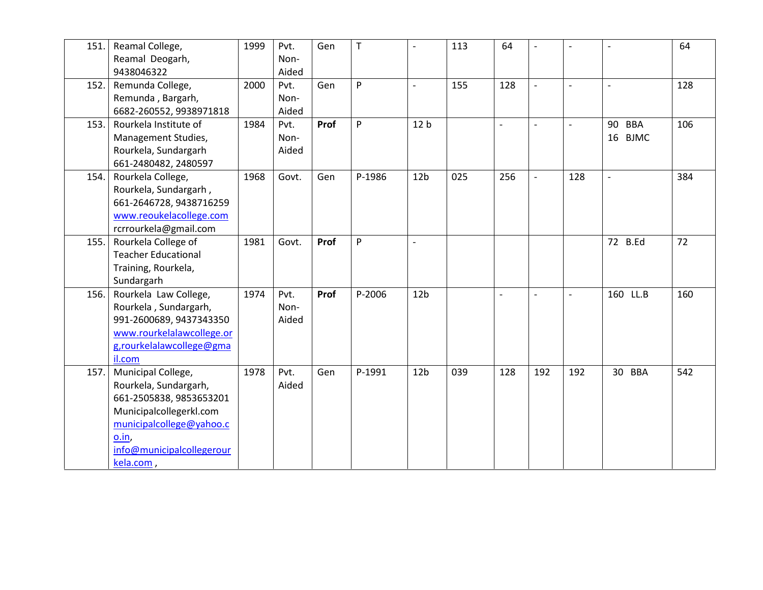| 151. | Reamal College,<br>Reamal Deogarh,<br>9438046322                                                                                                                                 | 1999 | Pvt.<br>Non-<br>Aided | Gen  | $\mathsf{T}$ | $\overline{a}$  | 113 | 64             | $\overline{a}$ | $\overline{a}$ | $\overline{a}$           | 64  |
|------|----------------------------------------------------------------------------------------------------------------------------------------------------------------------------------|------|-----------------------|------|--------------|-----------------|-----|----------------|----------------|----------------|--------------------------|-----|
| 152. | Remunda College,<br>Remunda, Bargarh,<br>6682-260552, 9938971818                                                                                                                 | 2000 | Pvt.<br>Non-<br>Aided | Gen  | P            | $\overline{a}$  | 155 | 128            | $\overline{a}$ | $\overline{a}$ | $\overline{\phantom{a}}$ | 128 |
| 153. | Rourkela Institute of<br>Management Studies,<br>Rourkela, Sundargarh<br>661-2480482, 2480597                                                                                     | 1984 | Pvt.<br>Non-<br>Aided | Prof | P            | 12 <sub>b</sub> |     |                | $\overline{a}$ | $\overline{a}$ | 90 BBA<br>16 BJMC        | 106 |
| 154. | Rourkela College,<br>Rourkela, Sundargarh,<br>661-2646728, 9438716259<br>www.reoukelacollege.com<br>rcrrourkela@gmail.com                                                        | 1968 | Govt.                 | Gen  | P-1986       | 12 <sub>b</sub> | 025 | 256            | $\overline{a}$ | 128            | $\overline{a}$           | 384 |
| 155. | Rourkela College of<br><b>Teacher Educational</b><br>Training, Rourkela,<br>Sundargarh                                                                                           | 1981 | Govt.                 | Prof | P            | $\overline{a}$  |     |                |                |                | 72 B.Ed                  | 72  |
| 156. | Rourkela Law College,<br>Rourkela, Sundargarh,<br>991-2600689, 9437343350<br>www.rourkelalawcollege.or<br>g,rourkelalawcollege@gma<br>il.com                                     | 1974 | Pvt.<br>Non-<br>Aided | Prof | P-2006       | 12 <sub>b</sub> |     | $\overline{a}$ | $\overline{a}$ | $\overline{a}$ | 160 LL.B                 | 160 |
| 157. | Municipal College,<br>Rourkela, Sundargarh,<br>661-2505838, 9853653201<br>Municipalcollegerkl.com<br>municipalcollege@yahoo.c<br>o.in,<br>info@municipalcollegerour<br>kela.com, | 1978 | Pvt.<br>Aided         | Gen  | P-1991       | 12 <sub>b</sub> | 039 | 128            | 192            | 192            | 30 BBA                   | 542 |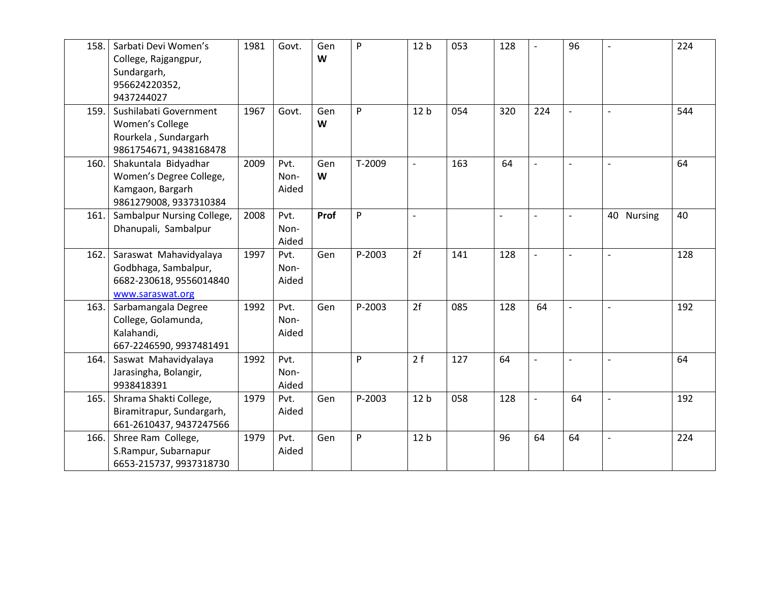| 158. | Sarbati Devi Women's<br>College, Rajgangpur,<br>Sundargarh,<br>956624220352,<br>9437244027    | 1981 | Govt.                 | Gen<br>W | P      | 12 <sub>b</sub>          | 053 | 128            | $\overline{\phantom{0}}$ | 96                       | $\overline{a}$ | 224 |
|------|-----------------------------------------------------------------------------------------------|------|-----------------------|----------|--------|--------------------------|-----|----------------|--------------------------|--------------------------|----------------|-----|
| 159. | Sushilabati Government<br>Women's College<br>Rourkela, Sundargarh<br>9861754671, 9438168478   | 1967 | Govt.                 | Gen<br>W | P      | 12 <sub>b</sub>          | 054 | 320            | 224                      |                          | $\overline{a}$ | 544 |
| 160. | Shakuntala Bidyadhar<br>Women's Degree College,<br>Kamgaon, Bargarh<br>9861279008, 9337310384 | 2009 | Pvt.<br>Non-<br>Aided | Gen<br>W | T-2009 | $\overline{\phantom{a}}$ | 163 | 64             | $\overline{a}$           | $\overline{\phantom{a}}$ |                | 64  |
| 161. | Sambalpur Nursing College,<br>Dhanupali, Sambalpur                                            | 2008 | Pvt.<br>Non-<br>Aided | Prof     | P      | $\overline{\phantom{a}}$ |     | $\overline{a}$ | $\overline{\phantom{0}}$ | $\blacksquare$           | 40 Nursing     | 40  |
| 162. | Saraswat Mahavidyalaya<br>Godbhaga, Sambalpur,<br>6682-230618, 9556014840<br>www.saraswat.org | 1997 | Pvt.<br>Non-<br>Aided | Gen      | P-2003 | 2f                       | 141 | 128            | $\overline{a}$           | $\overline{a}$           | $\overline{a}$ | 128 |
| 163. | Sarbamangala Degree<br>College, Golamunda,<br>Kalahandi,<br>667-2246590, 9937481491           | 1992 | Pvt.<br>Non-<br>Aided | Gen      | P-2003 | 2f                       | 085 | 128            | 64                       | $\overline{a}$           | $\overline{a}$ | 192 |
| 164. | Saswat Mahavidyalaya<br>Jarasingha, Bolangir,<br>9938418391                                   | 1992 | Pvt.<br>Non-<br>Aided |          | P      | 2f                       | 127 | 64             | $\overline{a}$           | $\overline{a}$           | $\overline{a}$ | 64  |
| 165. | Shrama Shakti College,<br>Biramitrapur, Sundargarh,<br>661-2610437, 9437247566                | 1979 | Pvt.<br>Aided         | Gen      | P-2003 | 12 <sub>b</sub>          | 058 | 128            | $\overline{\phantom{a}}$ | 64                       | $\overline{a}$ | 192 |
| 166. | Shree Ram College,<br>S.Rampur, Subarnapur<br>6653-215737, 9937318730                         | 1979 | Pvt.<br>Aided         | Gen      | P      | 12 <sub>b</sub>          |     | 96             | 64                       | 64                       | $\overline{a}$ | 224 |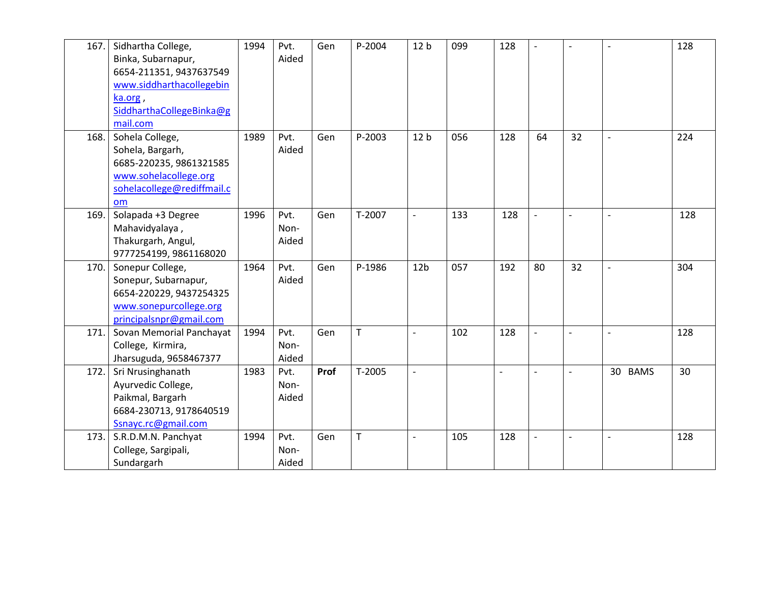| 167. | Sidhartha College,         | 1994 | Pvt.  | Gen  | P-2004      | 12 <sub>b</sub>          | 099 | 128 | $\overline{a}$ | $\overline{\phantom{a}}$ | $\overline{a}$           | 128 |
|------|----------------------------|------|-------|------|-------------|--------------------------|-----|-----|----------------|--------------------------|--------------------------|-----|
|      | Binka, Subarnapur,         |      | Aided |      |             |                          |     |     |                |                          |                          |     |
|      | 6654-211351, 9437637549    |      |       |      |             |                          |     |     |                |                          |                          |     |
|      | www.siddharthacollegebin   |      |       |      |             |                          |     |     |                |                          |                          |     |
|      | ka.org,                    |      |       |      |             |                          |     |     |                |                          |                          |     |
|      | SiddharthaCollegeBinka@g   |      |       |      |             |                          |     |     |                |                          |                          |     |
|      | mail.com                   |      |       |      |             |                          |     |     |                |                          |                          |     |
| 168. | Sohela College,            | 1989 | Pvt.  | Gen  | P-2003      | 12 <sub>b</sub>          | 056 | 128 | 64             | 32                       | $\overline{a}$           | 224 |
|      | Sohela, Bargarh,           |      | Aided |      |             |                          |     |     |                |                          |                          |     |
|      | 6685-220235, 9861321585    |      |       |      |             |                          |     |     |                |                          |                          |     |
|      | www.sohelacollege.org      |      |       |      |             |                          |     |     |                |                          |                          |     |
|      | sohelacollege@rediffmail.c |      |       |      |             |                          |     |     |                |                          |                          |     |
|      | om                         |      |       |      |             |                          |     |     |                |                          |                          |     |
| 169. | Solapada +3 Degree         | 1996 | Pvt.  | Gen  | T-2007      | $\overline{\phantom{a}}$ | 133 | 128 | $\overline{a}$ | $\overline{a}$           | $\sim$                   | 128 |
|      | Mahavidyalaya,             |      | Non-  |      |             |                          |     |     |                |                          |                          |     |
|      | Thakurgarh, Angul,         |      | Aided |      |             |                          |     |     |                |                          |                          |     |
|      | 9777254199, 9861168020     |      |       |      |             |                          |     |     |                |                          |                          |     |
| 170. | Sonepur College,           | 1964 | Pvt.  | Gen  | P-1986      | 12 <sub>b</sub>          | 057 | 192 | 80             | 32                       | $\overline{a}$           | 304 |
|      | Sonepur, Subarnapur,       |      | Aided |      |             |                          |     |     |                |                          |                          |     |
|      | 6654-220229, 9437254325    |      |       |      |             |                          |     |     |                |                          |                          |     |
|      | www.sonepurcollege.org     |      |       |      |             |                          |     |     |                |                          |                          |     |
|      | principalsnpr@gmail.com    |      |       |      |             |                          |     |     |                |                          |                          |     |
| 171. | Sovan Memorial Panchayat   | 1994 | Pvt.  | Gen  | T.          | $\overline{a}$           | 102 | 128 |                |                          | $\overline{\phantom{a}}$ | 128 |
|      | College, Kirmira,          |      | Non-  |      |             |                          |     |     |                |                          |                          |     |
|      | Jharsuguda, 9658467377     |      | Aided |      |             |                          |     |     |                |                          |                          |     |
| 172. | Sri Nrusinghanath          | 1983 | Pvt.  | Prof | T-2005      | $\overline{\phantom{a}}$ |     |     | $\overline{a}$ |                          | 30 BAMS                  | 30  |
|      | Ayurvedic College,         |      | Non-  |      |             |                          |     |     |                |                          |                          |     |
|      | Paikmal, Bargarh           |      | Aided |      |             |                          |     |     |                |                          |                          |     |
|      | 6684-230713, 9178640519    |      |       |      |             |                          |     |     |                |                          |                          |     |
|      | Ssnayc.rc@gmail.com        |      |       |      |             |                          |     |     |                |                          |                          |     |
| 173. | S.R.D.M.N. Panchyat        | 1994 | Pvt.  | Gen  | $\mathsf T$ | $\overline{a}$           | 105 | 128 | $\overline{a}$ | $\overline{\phantom{a}}$ | $\overline{\phantom{a}}$ | 128 |
|      | College, Sargipali,        |      | Non-  |      |             |                          |     |     |                |                          |                          |     |
|      | Sundargarh                 |      | Aided |      |             |                          |     |     |                |                          |                          |     |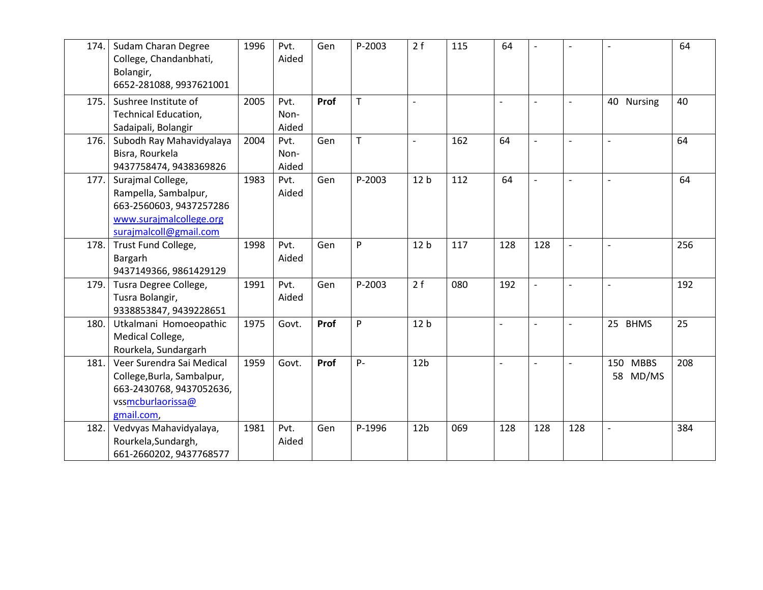| 174. | Sudam Charan Degree<br>College, Chandanbhati,<br>Bolangir,<br>6652-281088, 9937621001                                     | 1996 | Pvt.<br>Aided         | Gen  | P-2003 | 2f                       | 115 | 64             | $\overline{\phantom{a}}$ | $\blacksquare$           |                          | 64  |
|------|---------------------------------------------------------------------------------------------------------------------------|------|-----------------------|------|--------|--------------------------|-----|----------------|--------------------------|--------------------------|--------------------------|-----|
| 175. | Sushree Institute of<br><b>Technical Education,</b><br>Sadaipali, Bolangir                                                | 2005 | Pvt.<br>Non-<br>Aided | Prof | T      | $\overline{\phantom{a}}$ |     | $\overline{a}$ |                          |                          | 40 Nursing               | 40  |
| 176. | Subodh Ray Mahavidyalaya<br>Bisra, Rourkela<br>9437758474, 9438369826                                                     | 2004 | Pvt.<br>Non-<br>Aided | Gen  | T      | $\overline{a}$           | 162 | 64             | $\overline{\phantom{a}}$ | $\blacksquare$           | $\overline{\phantom{0}}$ | 64  |
| 177. | Surajmal College,<br>Rampella, Sambalpur,<br>663-2560603, 9437257286<br>www.surajmalcollege.org<br>surajmalcoll@gmail.com | 1983 | Pvt.<br>Aided         | Gen  | P-2003 | 12 <sub>b</sub>          | 112 | 64             | $\overline{a}$           | $\overline{\phantom{a}}$ | $\overline{a}$           | 64  |
| 178. | Trust Fund College,<br>Bargarh<br>9437149366, 9861429129                                                                  | 1998 | Pvt.<br>Aided         | Gen  | P      | 12 <sub>b</sub>          | 117 | 128            | 128                      |                          |                          | 256 |
| 179. | Tusra Degree College,<br>Tusra Bolangir,<br>9338853847, 9439228651                                                        | 1991 | Pvt.<br>Aided         | Gen  | P-2003 | 2f                       | 080 | 192            | $\overline{a}$           |                          |                          | 192 |
| 180. | Utkalmani Homoeopathic<br>Medical College,<br>Rourkela, Sundargarh                                                        | 1975 | Govt.                 | Prof | P      | 12 <sub>b</sub>          |     | $\overline{a}$ | $\overline{\phantom{a}}$ | $\overline{\phantom{a}}$ | 25 BHMS                  | 25  |
| 181. | Veer Surendra Sai Medical<br>College, Burla, Sambalpur,<br>663-2430768, 9437052636,<br>vssmcburlaorissa@<br>gmail.com,    | 1959 | Govt.                 | Prof | $P -$  | 12 <sub>b</sub>          |     | $\overline{a}$ |                          | $\overline{\phantom{a}}$ | 150 MBBS<br>58 MD/MS     | 208 |
| 182. | Vedvyas Mahavidyalaya,<br>Rourkela, Sundargh,<br>661-2660202, 9437768577                                                  | 1981 | Pvt.<br>Aided         | Gen  | P-1996 | 12 <sub>b</sub>          | 069 | 128            | 128                      | 128                      | $\overline{a}$           | 384 |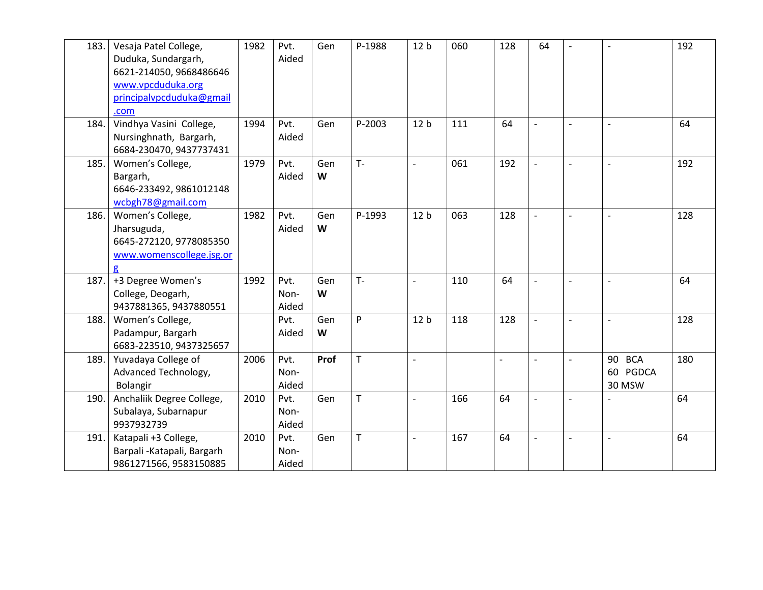| 183. | Vesaja Patel College,<br>Duduka, Sundargarh,<br>6621-214050, 9668486646<br>www.vpcduduka.org<br>principalvpcduduka@gmail | 1982 | Pvt.<br>Aided         | Gen      | P-1988      | 12 <sub>b</sub>          | 060 | 128                      | 64             | $\overline{\phantom{0}}$ | $\overline{a}$               | 192 |
|------|--------------------------------------------------------------------------------------------------------------------------|------|-----------------------|----------|-------------|--------------------------|-----|--------------------------|----------------|--------------------------|------------------------------|-----|
| 184. | .com<br>Vindhya Vasini College,<br>Nursinghnath, Bargarh,<br>6684-230470, 9437737431                                     | 1994 | Pvt.<br>Aided         | Gen      | P-2003      | 12 <sub>b</sub>          | 111 | 64                       | $\overline{a}$ |                          | $\overline{a}$               | 64  |
| 185. | Women's College,<br>Bargarh,<br>6646-233492, 9861012148<br>wcbgh78@gmail.com                                             | 1979 | Pvt.<br>Aided         | Gen<br>W | $T -$       | $\blacksquare$           | 061 | 192                      | $\overline{a}$ | $\overline{a}$           | $\overline{a}$               | 192 |
| 186. | Women's College,<br>Jharsuguda,<br>6645-272120, 9778085350<br>www.womenscollege.jsg.or                                   | 1982 | Pvt.<br>Aided         | Gen<br>W | P-1993      | 12 <sub>b</sub>          | 063 | 128                      | $\overline{a}$ | $\overline{a}$           | $\overline{\phantom{0}}$     | 128 |
| 187. | +3 Degree Women's<br>College, Deogarh,<br>9437881365, 9437880551                                                         | 1992 | Pvt.<br>Non-<br>Aided | Gen<br>W | $T -$       | $\overline{a}$           | 110 | 64                       | $\overline{a}$ | $\blacksquare$           | $\overline{a}$               | 64  |
| 188. | Women's College,<br>Padampur, Bargarh<br>6683-223510, 9437325657                                                         |      | Pvt.<br>Aided         | Gen<br>W | P           | 12 <sub>b</sub>          | 118 | 128                      | $\overline{a}$ | $\overline{\phantom{a}}$ | $\overline{\phantom{0}}$     | 128 |
| 189. | Yuvadaya College of<br>Advanced Technology,<br>Bolangir                                                                  | 2006 | Pvt.<br>Non-<br>Aided | Prof     | $\mathsf T$ | $\overline{\phantom{a}}$ |     | $\overline{\phantom{a}}$ |                |                          | 90 BCA<br>60 PGDCA<br>30 MSW | 180 |
| 190. | Anchaliik Degree College,<br>Subalaya, Subarnapur<br>9937932739                                                          | 2010 | Pvt.<br>Non-<br>Aided | Gen      | $\mathsf T$ | $\overline{\phantom{a}}$ | 166 | 64                       | $\overline{a}$ | $\overline{\phantom{a}}$ |                              | 64  |
| 191. | Katapali +3 College,<br>Barpali - Katapali, Bargarh<br>9861271566, 9583150885                                            | 2010 | Pvt.<br>Non-<br>Aided | Gen      | T           | $\overline{a}$           | 167 | 64                       |                |                          | $\overline{a}$               | 64  |